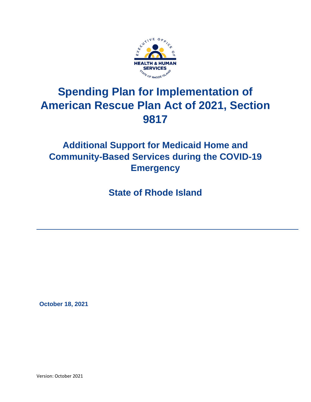

# **Spending Plan for Implementation of American Rescue Plan Act of 2021, Section 9817**

# **Additional Support for Medicaid Home and Community-Based Services during the COVID-19 Emergency**

**State of Rhode Island**

 **October 18, 2021**

Version: October 2021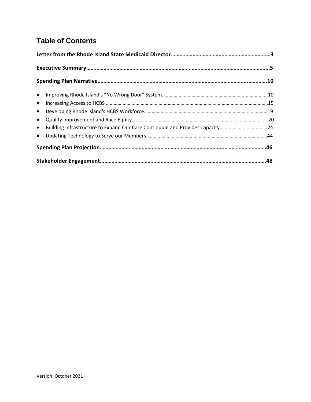## **Table of Contents**

| • Building Infrastructure to Expand Our Care Continuum and Provider Capacity24 |  |
|--------------------------------------------------------------------------------|--|
|                                                                                |  |
|                                                                                |  |
|                                                                                |  |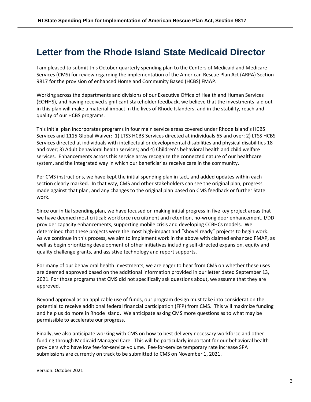# **Letter from the Rhode Island State Medicaid Director**

I am pleased to submit this October quarterly spending plan to the Centers of Medicaid and Medicare Services (CMS) for review regarding the implementation of the American Rescue Plan Act (ARPA) Section 9817 for the provision of enhanced Home and Community Based (HCBS) FMAP.

Working across the departments and divisions of our Executive Office of Health and Human Services (EOHHS), and having received significant stakeholder feedback, we believe that the investments laid out in this plan will make a material impact in the lives of Rhode Islanders, and in the stability, reach and quality of our HCBS programs.

This initial plan incorporates programs in four main service areas covered under Rhode Island's HCBS Services and 1115 Global Waiver: 1) LTSS HCBS Services directed at individuals 65 and over; 2) LTSS HCBS Services directed at individuals with intellectual or developmental disabilities and physical disabilities 18 and over; 3) Adult behavioral health services; and 4) Children's behavioral health and child welfare services. Enhancements across this service array recognize the connected nature of our healthcare system, and the integrated way in which our beneficiaries receive care in the community.

Per CMS instructions, we have kept the initial spending plan in tact, and added updates within each section clearly marked. In that way, CMS and other stakeholders can see the original plan, progress made against that plan, and any changes to the original plan based on CMS feedback or further State work.

Since our initial spending plan, we have focused on making initial progress in five key project areas that we have deemed most critical: workforce recruitment and retention, no-wrong door enhancement, I/DD provider capacity enhancements, supporting mobile crisis and developing CCBHCs models. We determined that these projects were the most high-impact and "shovel ready" projects to begin work. As we continue in this process, we aim to implement work in the above with claimed enhanced FMAP, as well as begin prioritizing development of other initiatives including self-directed expansion, equity and quality challenge grants, and assistive technology and report supports.

For many of our behavioral health investments, we are eager to hear from CMS on whether these uses are deemed approved based on the additional information provided in our letter dated September 13, 2021. For those programs that CMS did not specifically ask questions about, we assume that they are approved.

Beyond approval as an applicable use of funds, our program design must take into consideration the potential to receive additional federal financial participation (FFP) from CMS. This will maximize funding and help us do more in Rhode Island. We anticipate asking CMS more questions as to what may be permissible to accelerate our progress.

Finally, we also anticipate working with CMS on how to best delivery necessary workforce and other funding through Medicaid Managed Care. This will be particularly important for our behavioral health providers who have low fee-for-service volume. Fee-for-service temporary rate increase SPA submissions are currently on track to be submitted to CMS on November 1, 2021.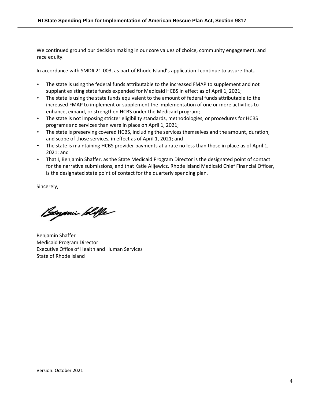We continued ground our decision making in our core values of choice, community engagement, and race equity.

In accordance with SMD# 21-003, as part of Rhode Island's application I continue to assure that…

- The state is using the federal funds attributable to the increased FMAP to supplement and not supplant existing state funds expended for Medicaid HCBS in effect as of April 1, 2021;
- The state is using the state funds equivalent to the amount of federal funds attributable to the increased FMAP to implement or supplement the implementation of one or more activities to enhance, expand, or strengthen HCBS under the Medicaid program;
- The state is not imposing stricter eligibility standards, methodologies, or procedures for HCBS programs and services than were in place on April 1, 2021;
- The state is preserving covered HCBS, including the services themselves and the amount, duration, and scope of those services, in effect as of April 1, 2021; and
- The state is maintaining HCBS provider payments at a rate no less than those in place as of April 1, 2021; and
- That I, Benjamin Shaffer, as the State Medicaid Program Director is the designated point of contact for the narrative submissions, and that Katie Alijewicz, Rhode Island Medicaid Chief Financial Officer, is the designated state point of contact for the quarterly spending plan.

Sincerely,

Beyonin Hille

Benjamin Shaffer Medicaid Program Director Executive Office of Health and Human Services State of Rhode Island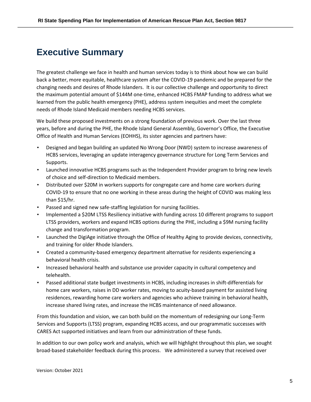# **Executive Summary**

The greatest challenge we face in health and human services today is to think about how we can build back a better, more equitable, healthcare system after the COVID-19 pandemic and be prepared for the changing needs and desires of Rhode Islanders. It is our collective challenge and opportunity to direct the maximum potential amount of \$144M one-time, enhanced HCBS FMAP funding to address what we learned from the public health emergency (PHE), address system inequities and meet the complete needs of Rhode Island Medicaid members needing HCBS services.

We build these proposed investments on a strong foundation of previous work. Over the last three years, before and during the PHE, the Rhode Island General Assembly, Governor's Office, the Executive Office of Health and Human Services (EOHHS), its sister agencies and partners have:

- Designed and began building an updated No Wrong Door (NWD) system to increase awareness of HCBS services, leveraging an update interagency governance structure for Long Term Services and Supports.
- Launched innovative HCBS programs such as the Independent Provider program to bring new levels of choice and self-direction to Medicaid members.
- Distributed over \$20M in workers supports for congregate care and home care workers during COVID-19 to ensure that no one working in these areas during the height of COVID was making less than \$15/hr.
- Passed and signed new safe-staffing legislation for nursing facilities.
- Implemented a \$20M LTSS Resiliency initiative with funding across 10 different programs to support LTSS providers, workers and expand HCBS options during the PHE, including a \$9M nursing facility change and transformation program.
- Launched the DigiAge initiative through the Office of Healthy Aging to provide devices, connectivity, and training for older Rhode Islanders.
- Created a community-based emergency department alternative for residents experiencing a behavioral health crisis.
- Increased behavioral health and substance use provider capacity in cultural competency and telehealth.
- Passed additional state budget investments in HCBS, including increases in shift-differentials for home care workers, raises in DD worker rates, moving to acuity-based payment for assisted living residences, rewarding home care workers and agencies who achieve training in behavioral health, increase shared living rates, and increase the HCBS maintenance of need allowance.

From this foundation and vision, we can both build on the momentum of redesigning our Long-Term Services and Supports (LTSS) program, expanding HCBS access, and our programmatic successes with CARES Act supported initiatives and learn from our administration of these funds.

In addition to our own policy work and analysis, which we will highlight throughout this plan, we sought broad-based stakeholder feedback during this process. We administered a survey that received over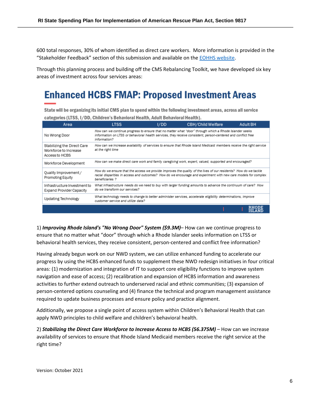600 total responses, 30% of whom identified as direct care workers. More information is provided in the "Stakeholder Feedback" section of this submission and available on th[e EOHHS website.](https://eohhs.ri.gov/initiatives/american-rescue-plan-act/home-and-community-based-services-hcbs-enhancement)

Through this planning process and building off the CMS Rebalancing Toolkit, we have developed six key areas of investment across four services areas:

# **Enhanced HCBS FMAP: Proposed Investment Areas**

State will be organizing its initial CMS plan to spend within the following investment areas, across all service categories (LTSS, I/DD, Children's Behavioral Health, Adult Behavioral Health).

| Area                                                                   | <b>LTSS</b>                                                                                                                                                                                                                                           | I/DD | <b>CBH/Child Welfare</b> | <b>Adult BH</b>               |
|------------------------------------------------------------------------|-------------------------------------------------------------------------------------------------------------------------------------------------------------------------------------------------------------------------------------------------------|------|--------------------------|-------------------------------|
| No Wrong Door                                                          | How can we continue progress to ensure that no matter what "door" through which a Rhode Islander seeks<br>information on LTSS or behavioral health services, they receive consistent, person-centered and conflict free<br>information?               |      |                          |                               |
| Stabilizing the Direct Care<br>Workforce to Increase<br>Access to HCBS | How can we increase availability of services to ensure that Rhode Island Medicaid members receive the right service<br>at the right time                                                                                                              |      |                          |                               |
| Workforce Development                                                  | How can we make direct care work and family caregiving work, expert, valued, supported and encouraged?                                                                                                                                                |      |                          |                               |
| Quality Improvement /<br>Promoting Equity                              | How do we ensure that the access we provide improves the quality of the lives of our residents? How do we tackle<br>racial disparities in access and outcomes? How do we encourage and experiment with new care models for complex<br>beneficiaries ? |      |                          |                               |
| Infrastructure Investment to<br><b>Expand Provider Capacity</b>        | What infrastructure needs do we need to buy with larger funding amounts to advance the continuum of care? How<br>do we transform our services?                                                                                                        |      |                          |                               |
| Updating Technology                                                    | What technology needs to change to better administer services, accelerate eligibility determinations, improve<br>customer service and utilize data?                                                                                                   |      |                          |                               |
|                                                                        |                                                                                                                                                                                                                                                       |      |                          | <b>RHODE</b><br><b>ISLAND</b> |

1) *Improving Rhode Island's "No Wrong Door" System (\$9.3M)*– How can we continue progress to ensure that no matter what "door" through which a Rhode Islander seeks information on LTSS or behavioral health services, they receive consistent, person-centered and conflict free information?

Having already begun work on our NWD system, we can utilize enhanced funding to accelerate our progress by using the HCBS enhanced funds to supplement these NWD redesign initiatives in four critical areas: (1) modernization and integration of IT to support core eligibility functions to improve system navigation and ease of access; (2) recalibration and expansion of HCBS information and awareness activities to further extend outreach to underserved racial and ethnic communities; (3) expansion of person-centered options counseling and (4) finance the technical and program management assistance required to update business processes and ensure policy and practice alignment.

Additionally, we propose a single point of access system within Children's Behavioral Health that can apply NWD principles to child welfare and children's behavioral health.

2) *Stabilizing the Direct Care Workforce to Increase Access to HCBS (56.375M)* – How can we increase availability of services to ensure that Rhode Island Medicaid members receive the right service at the right time?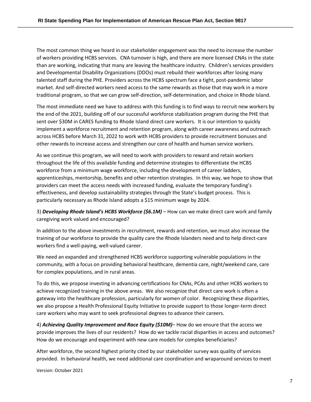The most common thing we heard in our stakeholder engagement was the need to increase the number of workers providing HCBS services. CNA turnover is high, and there are more licensed CNAs in the state than are working, indicating that many are leaving the healthcare industry. Children's services providers and Developmental Disability Organizations (DDOs) must rebuild their workforces after losing many talented staff during the PHE. Providers across the HCBS spectrum face a tight, post-pandemic labor market. And self-directed workers need access to the same rewards as those that may work in a more traditional program, so that we can grow self-direction, self-determination, and choice in Rhode Island.

The most immediate need we have to address with this funding is to find ways to recruit new workers by the end of the 2021, building off of our successful workforce stabilization program during the PHE that sent over \$30M in CARES funding to Rhode Island direct care workers. It is our intention to quickly implement a workforce recruitment and retention program, along with career awareness and outreach across HCBS before March 31, 2022 to work with HCBS providers to provide recruitment bonuses and other rewards to increase access and strengthen our core of health and human service workers.

As we continue this program, we will need to work with providers to reward and retain workers throughout the life of this available funding and determine strategies to differentiate the HCBS workforce from a minimum wage workforce, including the development of career ladders, apprenticeships, mentorship, benefits and other retention strategies. In this way, we hope to show that providers can meet the access needs with increased funding, evaluate the temporary funding's effectiveness, and develop sustainability strategies through the State's budget process. This is particularly necessary as Rhode Island adopts a \$15 minimum wage by 2024.

3) *Developing Rhode Island's HCBS Workforce (\$6.1M)* – How can we make direct care work and family caregiving work valued and encouraged?

In addition to the above investments in recruitment, rewards and retention, we must also increase the training of our workforce to provide the quality care the Rhode Islanders need and to help direct-care workers find a well-paying, well-valued career.

We need an expanded and strengthened HCBS workforce supporting vulnerable populations in the community, with a focus on providing behavioral healthcare, dementia care, night/weekend care, care for complex populations, and in rural areas.

To do this, we propose investing in advancing certifications for CNAs, PCAs and other HCBS workers to achieve recognized training in the above areas. We also recognize that direct care work is often a gateway into the healthcare profession, particularly for women of color. Recognizing these disparities, we also propose a Health Professional Equity Initiative to provide support to those longer-term direct care workers who may want to seek professional degrees to advance their careers.

4) *Achieving Quality Improvement and Race Equity (\$10M)*– How do we ensure that the access we provide improves the lives of our residents? How do we tackle racial disparities in access and outcomes? How do we encourage and experiment with new care models for complex beneficiaries?

After workforce, the second highest priority cited by our stakeholder survey was quality of services provided. In behavioral health, we need additional care coordination and wraparound services to meet

Version: October 2021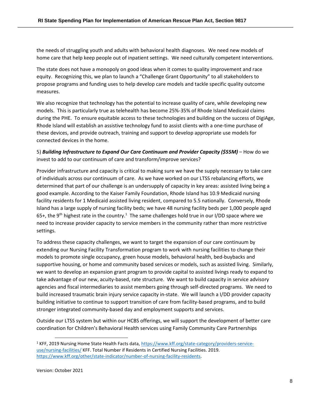the needs of struggling youth and adults with behavioral health diagnoses. We need new models of home care that help keep people out of inpatient settings. We need culturally competent interventions.

The state does not have a monopoly on good ideas when it comes to quality improvement and race equity. Recognizing this, we plan to launch a "Challenge Grant Opportunity" to all stakeholders to propose programs and funding uses to help develop care models and tackle specific quality outcome measures.

We also recognize that technology has the potential to increase quality of care, while developing new models. This is particularly true as telehealth has become 25%-35% of Rhode Island Medicaid claims during the PHE. To ensure equitable access to these technologies and building on the success of DigiAge, Rhode Island will establish an assistive technology fund to assist clients with a one-time purchase of these devices, and provide outreach, training and support to develop appropriate use models for connected devices in the home.

5) *Building Infrastructure to Expand Our Care Continuum and Provider Capacity (\$55M)* – How do we invest to add to our continuum of care and transform/improve services?

Provider infrastructure and capacity is critical to making sure we have the supply necessary to take care of individuals across our continuum of care. As we have worked on our LTSS rebalancing efforts, we determined that part of our challenge is an undersupply of capacity in key areas: assisted living being a good example. According to the Kaiser Family Foundation, Rhode Island has 10.9 Medicaid nursing facility residents for 1 Medicaid assisted living resident, compared to 5.5 nationally. Conversely, Rhode Island has a large supply of nursing facility beds; we have 48 nursing facility beds per 1,000 people aged 65+, the 9<sup>th</sup> highest rate in the country.<sup>1</sup> The same challenges hold true in our I/DD space where we need to increase provider capacity to service members in the community rather than more restrictive settings.

To address these capacity challenges, we want to target the expansion of our care continuum by extending our Nursing Facility Transformation program to work with nursing facilities to change their models to promote single occupancy, green house models, behavioral health, bed-buybacks and supportive housing, or home and community based services or models, such as assisted living. Similarly, we want to develop an expansion grant program to provide capital to assisted livings ready to expand to take advantage of our new, acuity-based, rate structure. We want to build capacity in service advisory agencies and fiscal intermediaries to assist members going through self-directed programs. We need to build increased traumatic brain injury service capacity in-state. We will launch a I/DD provider capacity building initiative to continue to support transition of care from facility-based programs, and to build stronger integrated community-based day and employment supports and services.

Outside our LTSS system but within our HCBS offerings, we will support the development of better care coordination for Children's Behavioral Health services using Family Community Care Partnerships

<sup>1</sup> KFF, 2019 Nursing Home State Health Facts data, [https://www.kff.org/state-category/providers-service](https://www.kff.org/state-category/providers-service-use/nursing-facilities/)[use/nursing-facilities/](https://www.kff.org/state-category/providers-service-use/nursing-facilities/) KFF. Total Number if Residents in Certified Nursing Facilities. 2019. [https://www.kff.org/other/state-indicator/number-of-nursing-facility-residents.](https://www.kff.org/other/state-indicator/number-of-nursing-facility-residents/?currentTimeframe=0&sortModel=%7B%22colId%22:%22Location%22,%22sort%22:%22asc%22%7D)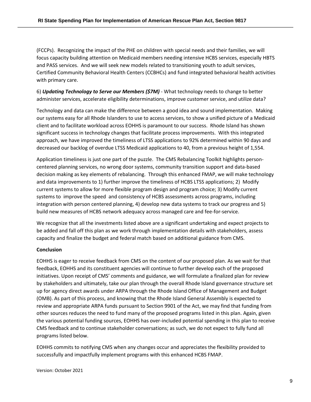(FCCPs). Recognizing the impact of the PHE on children with special needs and their families, we will focus capacity building attention on Medicaid members needing intensive HCBS services, especially HBTS and PASS services. And we will seek new models related to transitioning youth to adult services, Certified Community Behavioral Health Centers (CCBHCs) and fund integrated behavioral health activities with primary care.

6) *Updating Technology to Serve our Members (\$7M)* - What technology needs to change to better administer services, accelerate eligibility determinations, improve customer service, and utilize data?

Technology and data can make the difference between a good idea and sound implementation. Making our systems easy for all Rhode Islanders to use to access services, to show a unified picture of a Medicaid client and to facilitate workload across EOHHS is paramount to our success. Rhode Island has shown significant success in technology changes that facilitate process improvements. With this integrated approach, we have improved the timeliness of LTSS applications to 92% determined within 90 days and decreased our backlog of overdue LTSS Medicaid applications to 40, from a previous height of 1,554.

Application timeliness is just one part of the puzzle. The CMS Rebalancing Toolkit highlights personcentered planning services, no wrong door systems, community transition support and data-based decision making as key elements of rebalancing. Through this enhanced FMAP, we will make technology and data improvements to 1) further improve the timeliness of HCBS LTSS applications; 2) Modify current systems to allow for more flexible program design and program choice; 3) Modify current systems to improve the speed and consistency of HCBS assessments across programs, including integration with person centered planning, 4) develop new data systems to track our progress and 5) build new measures of HCBS network adequacy across managed care and fee-for-service.

We recognize that all the investments listed above are a significant undertaking and expect projects to be added and fall off this plan as we work through implementation details with stakeholders, assess capacity and finalize the budget and federal match based on additional guidance from CMS.

### **Conclusion**

EOHHS is eager to receive feedback from CMS on the content of our proposed plan. As we wait for that feedback, EOHHS and its constituent agencies will continue to further develop each of the proposed initiatives. Upon receipt of CMS' comments and guidance, we will formulate a finalized plan for review by stakeholders and ultimately, take our plan through the overall Rhode Island governance structure set up for agency direct awards under ARPA through the Rhode Island Office of Management and Budget (OMB). As part of this process, and knowing that the Rhode Island General Assembly is expected to review and appropriate ARPA funds pursuant to Section 9901 of the Act, we may find that funding from other sources reduces the need to fund many of the proposed programs listed in this plan. Again, given the various potential funding sources, EOHHS has over-included potential spending in this plan to receive CMS feedback and to continue stakeholder conversations; as such, we do not expect to fully fund all programs listed below.

EOHHS commits to notifying CMS when any changes occur and appreciates the flexibility provided to successfully and impactfully implement programs with this enhanced HCBS FMAP.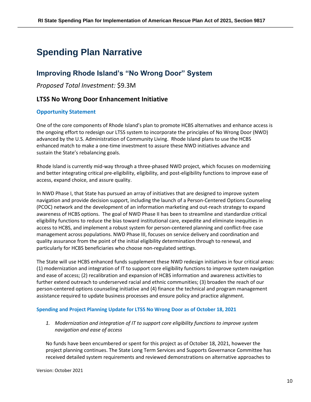# **Spending Plan Narrative**

## **Improving Rhode Island's "No Wrong Door" System**

*Proposed Total Investment:* \$9.3M

### **LTSS No Wrong Door Enhancement Initiative**

### **Opportunity Statement**

One of the core components of Rhode Island's plan to promote HCBS alternatives and enhance access is the ongoing effort to redesign our LTSS system to incorporate the principles of No Wrong Door (NWD) advanced by the U.S. Administration of Community Living. Rhode Island plans to use the HCBS enhanced match to make a one-time investment to assure these NWD initiatives advance and sustain the State's rebalancing goals.

Rhode Island is currently mid-way through a three-phased NWD project, which focuses on modernizing and better integrating critical pre-eligibility, eligibility, and post-eligibility functions to improve ease of access, expand choice, and assure quality.

In NWD Phase I, that State has pursued an array of initiatives that are designed to improve system navigation and provide decision support, including the launch of a Person-Centered Options Counseling (PCOC) network and the development of an information marketing and out-reach strategy to expand awareness of HCBS options. The goal of NWD Phase II has been to streamline and standardize critical eligibility functions to reduce the bias toward institutional care, expedite and eliminate inequities in access to HCBS, and implement a robust system for person-centered planning and conflict-free case management across populations. NWD Phase III, focuses on service delivery and coordination and quality assurance from the point of the initial eligibility determination through to renewal, and particularly for HCBS beneficiaries who choose non-regulated settings.

The State will use HCBS enhanced funds supplement these NWD redesign initiatives in four critical areas: (1) modernization and integration of IT to support core eligibility functions to improve system navigation and ease of access; (2) recalibration and expansion of HCBS information and awareness activities to further extend outreach to underserved racial and ethnic communities; (3) broaden the reach of our person-centered options counseling initiative and (4) finance the technical and program management assistance required to update business processes and ensure policy and practice alignment.

### **Spending and Project Planning Update for LTSS No Wrong Door as of October 18, 2021**

*1. Modernization and integration of IT to support core eligibility functions to improve system navigation and ease of access*

No funds have been encumbered or spent for this project as of October 18, 2021, however the project planning continues. The State Long Term Services and Supports Governance Committee has received detailed system requirements and reviewed demonstrations on alternative approaches to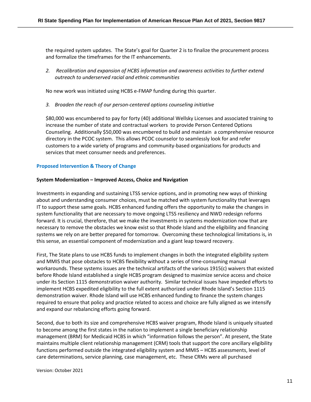the required system updates. The State's goal for Quarter 2 is to finalize the procurement process and formalize the timeframes for the IT enhancements.

*2. Recalibration and expansion of HCBS information and awareness activities to further extend outreach to underserved racial and ethnic communities*

No new work was initiated using HCBS e-FMAP funding during this quarter.

*3. Broaden the reach of our person-centered options counseling initiative*

\$80,000 was encumbered to pay for forty (40) additional Wellsky Licenses and associated training to increase the number of state and contractual workers to provide Person Centered Options Counseling. Additionally \$50,000 was encumbered to build and maintain a comprehensive resource directory in the PCOC system. This allows PCOC counselor to seamlessly look for and refer customers to a wide variety of programs and community-based organizations for products and services that meet consumer needs and preferences.

### **Proposed Intervention & Theory of Change**

### **System Modernization – Improved Access, Choice and Navigation**

Investments in expanding and sustaining LTSS service options, and in promoting new ways of thinking about and understanding consumer choices, must be matched with system functionality that leverages IT to support these same goals. HCBS enhanced funding offers the opportunity to make the changes in system functionality that are necessary to move ongoing LTSS resiliency and NWD redesign reforms forward. It is crucial, therefore, that we make the investments in systems modernization now that are necessary to remove the obstacles we know exist so that Rhode Island and the eligibility and financing systems we rely on are better prepared for tomorrow. Overcoming these technological limitations is, in this sense, an essential component of modernization and a giant leap toward recovery.

First, The State plans to use HCBS funds to implement changes in both the integrated eligibility system and MMIS that pose obstacles to HCBS flexibility without a series of time-consuming manual workarounds. These systems issues are the technical artifacts of the various 1915(c) waivers that existed before Rhode Island established a single HCBS program designed to maximize service access and choice under its Section 1115 demonstration waiver authority. Similar technical issues have impeded efforts to implement HCBS expedited eligibility to the full extent authorized under Rhode Island's Section 1115 demonstration waiver. Rhode Island will use HCBS enhanced funding to finance the system changes required to ensure that policy and practice related to access and choice are fully aligned as we intensify and expand our rebalancing efforts going forward.

Second, due to both its size and comprehensive HCBS waiver program, Rhode Island is uniquely situated to become among the first states in the nation to implement a single beneficiary relationship management (BRM) for Medicaid HCBS in which "information follows the person". At present, the State maintains multiple client relationship management (CRM) tools that support the core ancillary eligibility functions performed outside the integrated eligibility system and MMIS – HCBS assessments, level of care determinations, service planning, case management, etc. These CRMs were all purchased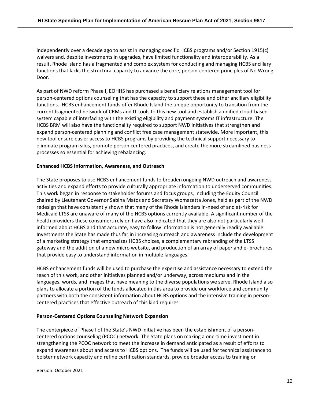independently over a decade ago to assist in managing specific HCBS programs and/or Section 1915(c) waivers and, despite investments in upgrades, have limited functionality and interoperability. As a result, Rhode Island has a fragmented and complex system for conducting and managing HCBS ancillary functions that lacks the structural capacity to advance the core, person-centered principles of No Wrong Door.

As part of NWD reform Phase I, EOHHS has purchased a beneficiary relations management tool for person-centered options counseling that has the capacity to support these and other ancillary eligibility functions. HCBS enhancement funds offer Rhode Island the unique opportunity to transition from the current fragmented network of CRMs and IT tools to this new tool and establish a unified cloud-based system capable of interfacing with the existing eligibility and payment systems IT infrastructure. The HCBS BRM will also have the functionality required to support NWD initiatives that strengthen and expand person-centered planning and conflict free case management statewide. More important, this new tool ensure easier access to HCBS programs by providing the technical support necessary to eliminate program silos, promote person centered practices, and create the more streamlined business processes so essential for achieving rebalancing.

### **Enhanced HCBS Information, Awareness, and Outreach**

The State proposes to use HCBS enhancement funds to broaden ongoing NWD outreach and awareness activities and expand efforts to provide culturally appropriate information to underserved communities. This work began in response to stakeholder forums and focus groups, including the Equity Council chaired by Lieutenant Governor Sabina Matos and Secretary Womazetta Jones, held as part of the NWD redesign that have consistently shown that many of the Rhode Islanders in-need of and at-risk for Medicaid LTSS are unaware of many of the HCBS options currently available. A significant number of the health providers these consumers rely on have also indicated that they are also not particularly wellinformed about HCBS and that accurate, easy to follow information is not generally readily available. Investments the State has made thus far in increasing outreach and awareness include the development of a marketing strategy that emphasizes HCBS choices, a complementary rebranding of the LTSS gateway and the addition of a new micro website, and production of an array of paper and e- brochures that provide easy to understand information in multiple languages.

HCBS enhancement funds will be used to purchase the expertise and assistance necessary to extend the reach of this work, and other initiatives planned and/or underway, across mediums and in the languages, words, and images that have meaning to the diverse populations we serve. Rhode Island also plans to allocate a portion of the funds allocated in this area to provide our workforce and community partners with both the consistent information about HCBS options and the intensive training in personcentered practices that effective outreach of this kind requires.

### **Person-Centered Options Counseling Network Expansion**

The centerpiece of Phase I of the State's NWD initiative has been the establishment of a personcentered options counseling (PCOC) network. The State plans on making a one-time investment in strengthening the PCOC network to meet the increase in demand anticipated as a result of efforts to expand awareness about and access to HCBS options. The funds will be used for technical assistance to bolster network capacity and refine certification standards, provide broader access to training on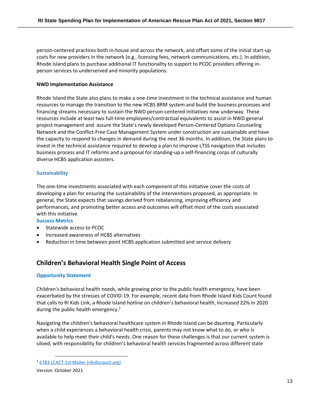person-centered practices both in-house and across the network, and offset some of the initial start-up costs for new providers in the network (e.g., licensing fees, network communications, etc.). In addition, Rhode Island plans to purchase additional IT functionality to support to PCOC providers offering inperson services to underserved and minority populations.

### **NWD Implementation Assistance**

Rhode Island the State also plans to make a one-time investment in the technical assistance and human resources to manage the transition to the new HCBS BRM system and build the business processes and financing streams necessary to sustain the NWD person-centered initiatives now underway. These resources include at least two full-time employees/contractual equivalents to assist in NWD general project management and assure the State's newly developed Person-Centered Options Counseling Network and the Conflict-Free Case Management System under construction are sustainable and have the capacity to respond to changes in demand during the next 36 months. In addition, the State plans to invest in the technical assistance required to develop a plan to improve LTSS navigation that includes business process and IT reforms and a proposal for standing-up a self-financing corps of culturally diverse HCBS application assisters.

### **Sustainability**

The one-time investments associated with each component of this initiative cover the costs of developing a plan for ensuring the sustainability of the interventions proposed, as appropriate. In general, the State expects that savings derived from rebalancing, improving efficiency and performances, and promoting better access and outcomes will offset most of the costs associated with this initiative.

### **Success Metrics**

- Statewide access to PCOC
- Increased awareness of HCBS alternatives
- Reduction in time between point HCBS application submitted and service delivery

### **Children's Behavioral Health Single Point of Access**

### **Opportunity Statement**

Children's behavioral health needs, while growing prior to the public health emergency, have been exacerbated by the stresses of COVID-19. For example, recent data from Rhode Island Kids Count found that calls to RI Kids Link, a Rhode Island hotline on children's behavioral health, increased 22% in 2020 during the public health emergency.<sup>2</sup>

Navigating the children's behavioral healthcare system in Rhode Island can be daunting. Particularly when a child experiences a behavioral health crisis, parents may not know what to do, or who is available to help meet their child's needs. One reason for these challenges is that our current system is siloed, with responsibility for children's behavioral health services fragmented across different state

<sup>2</sup> [6783 LCACT 1st Mailer \(rikidscount.org\)](https://www.rikidscount.org/Portals/0/Uploads/Documents/Factbook%202021/Children)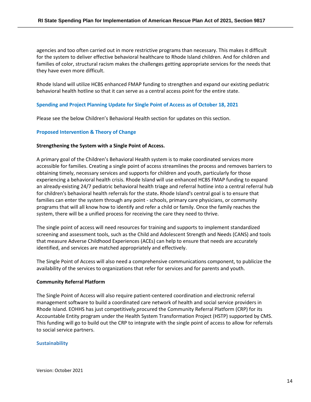agencies and too often carried out in more restrictive programs than necessary. This makes it difficult for the system to deliver effective behavioral healthcare to Rhode Island children. And for children and families of color, structural racism makes the challenges getting appropriate services for the needs that they have even more difficult.

Rhode Island will utilize HCBS enhanced FMAP funding to strengthen and expand our existing pediatric behavioral health hotline so that it can serve as a central access point for the entire state.

### **Spending and Project Planning Update for Single Point of Access as of October 18, 2021**

Please see the below Children's Behavioral Health section for updates on this section.

### **Proposed Intervention & Theory of Change**

### **Strengthening the System with a Single Point of Access.**

A primary goal of the Children's Behavioral Health system is to make coordinated services more accessible for families. Creating a single point of access streamlines the process and removes barriers to obtaining timely, necessary services and supports for children and youth, particularly for those experiencing a behavioral health crisis. Rhode Island will use enhanced HCBS FMAP funding to expand an already-existing 24/7 pediatric behavioral health triage and referral hotline into a central referral hub for children's behavioral health referrals for the state**.** Rhode Island's central goal is to ensure that families can enter the system through any point - schools, primary care physicians, or community programs that will all know how to identify and refer a child or family. Once the family reaches the system, there will be a unified process for receiving the care they need to thrive.

The single point of access will need resources for training and supports to implement standardized screening and assessment tools, such as the Child and Adolescent Strength and Needs (CANS) and tools that measure Adverse Childhood Experiences (ACEs) can help to ensure that needs are accurately identified, and services are matched appropriately and effectively.

The Single Point of Access will also need a comprehensive communications component, to publicize the availability of the services to organizations that refer for services and for parents and youth.

### **Community Referral Platform**

The Single Point of Access will also require patient-centered coordination and electronic referral management software to build a coordinated care network of health and social service providers in Rhode Island. EOHHS has just competitively procured the Community Referral Platform (CRP) for its Accountable Entity program under the Health System Transformation Project (HSTP) supported by CMS. This funding will go to build out the CRP to integrate with the single point of access to allow for referrals to social service partners.

### **Sustainability**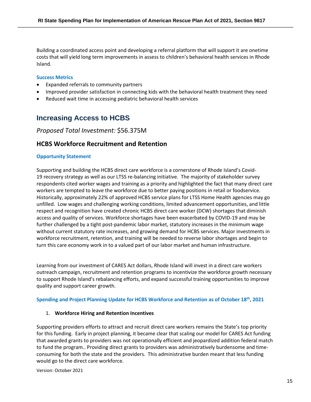Building a coordinated access point and developing a referral platform that will support it are onetime costs that will yield long term improvements in assess to children's behavioral health services in Rhode Island.

### **Success Metrics**

- Expanded referrals to community partners
- Improved provider satisfaction in connecting kids with the behavioral health treatment they need
- Reduced wait time in accessing pediatric behavioral health services

## **Increasing Access to HCBS**

### *Proposed Total Investment:* \$56.375M

### **HCBS Workforce Recruitment and Retention**

### **Opportunity Statement**

Supporting and building the HCBS direct care workforce is a cornerstone of Rhode Island's Covid-19 recovery strategy as well as our LTSS re-balancing initiative. The majority of stakeholder survey respondents cited worker wages and training as a priority and highlighted the fact that many direct care workers are tempted to leave the workforce due to better paying positions in retail or foodservice. Historically, approximately 22% of approved HCBS service plans for LTSS Home Health agencies may go unfilled. Low wages and challenging working conditions, limited advancement opportunities, and little respect and recognition have created chronic HCBS direct care worker (DCW) shortages that diminish access and quality of services. Workforce shortages have been exacerbated by COVID-19 and may be further challenged by a tight post-pandemic labor market, statutory increases in the minimum wage without current statutory rate increases, and growing demand for HCBS services. Major investments in workforce recruitment, retention, and training will be needed to reverse labor shortages and begin to turn this care economy work in to a valued part of our labor market and human infrastructure.

Learning from our investment of CARES Act dollars, Rhode Island will invest in a direct care workers outreach campaign, recruitment and retention programs to incentivize the workforce growth necessary to support Rhode Island's rebalancing efforts, and expand successful training opportunities to improve quality and support career growth.

### **Spending and Project Planning Update for HCBS Workforce and Retention as of October 18th, 2021**

### 1. **Workforce Hiring and Retention Incentives**

Supporting providers efforts to attract and recruit direct care workers remains the State's top priority for this funding. Early in project planning, it became clear that scaling our model for CARES Act funding that awarded grants to providers was not operationally efficient and jeopardized addition federal match to fund the program.. Providing direct grants to providers was administratively burdensome and timeconsuming for both the state and the providers. This administrative burden meant that less funding would go to the direct care workforce.

Version: October 2021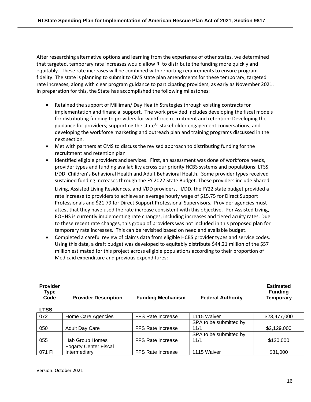After researching alternative options and learning from the experience of other states, we determined that targeted, temporary rate increases would allow RI to distribute the funding more quickly and equitably. These rate increases will be combined with reporting requirements to ensure program fidelity. The state is planning to submit to CMS state plan amendments for these temporary, targeted rate increases, along with clear program guidance to participating providers, as early as November 2021. In preparation for this, the State has accomplished the following milestones:

- Retained the support of Milliman/ Day Health Strategies through existing contracts for implementation and financial support. The work provided includes developing the fiscal models for distributing funding to providers for workforce recruitment and retention; Developing the guidance for providers; supporting the state's stakeholder engagement conversations; and developing the workforce marketing and outreach plan and training programs discussed in the next section.
- Met with partners at CMS to discuss the revised approach to distributing funding for the recruitment and retention plan
- Identified eligible providers and services. First, an assessment was done of workforce needs, provider types and funding availability across our priority HCBS systems and populations: LTSS, I/DD, Children's Behavioral Health and Adult Behavioral Health. Some provider types received sustained funding increases through the FY 2022 State Budget. These providers include Shared Living, Assisted Living Residences, and I/DD providers. I/DD, the FY22 state budget provided a rate increase to providers to achieve an average hourly wage of \$15.75 for Direct Support Professionals and \$21.79 for Direct Support Professional Supervisors. Provider agencies must attest that they have used the rate increase consistent with this objective. For Assisted Living, EOHHS is currently implementing rate changes, including increases and tiered acuity rates. Due to these recent rate changes, this group of providers was not included in this proposed plan for temporary rate increases. This can be revisited based on need and available budget.
- Completed a careful review of claims data from eligible HCBS provider types and service codes. Using this data, a draft budget was developed to equitably distribute \$44.21 million of the \$57 million estimated for this project across eligible populations according to their proportion of Medicaid expenditure and previous expenditures:

| Provider<br>Type<br>Code | <b>Provider Description</b>  | <b>Funding Mechanism</b> | <b>Federal Authority</b> | Estimated<br><b>Funding</b><br><b>Temporary</b> |
|--------------------------|------------------------------|--------------------------|--------------------------|-------------------------------------------------|
| <b>LTSS</b>              |                              |                          |                          |                                                 |
| 072                      | Home Care Agencies           | <b>FFS Rate Increase</b> | 1115 Waiver              | \$23,477,000                                    |
|                          |                              |                          | SPA to be submitted by   |                                                 |
| 050                      | <b>Adult Day Care</b>        | <b>FFS Rate Increase</b> | 11/1                     | \$2,129,000                                     |
|                          |                              |                          | SPA to be submitted by   |                                                 |
| 055                      | Hab Group Homes              | FFS Rate Increase        | 11/1                     | \$120,000                                       |
|                          | <b>Fogarty Center Fiscal</b> |                          |                          |                                                 |
| 071 FI                   | Intermediary                 | <b>FFS Rate Increase</b> | 1115 Waiver              | \$31,000                                        |

**Provider** 

**Estimated**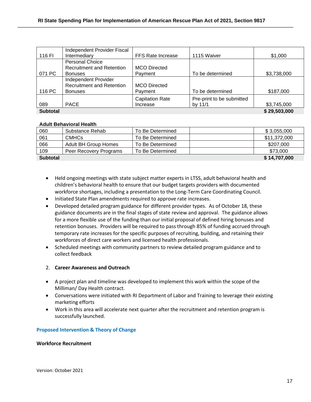|                 | Independent Provider Fiscal      |                          |                           |              |
|-----------------|----------------------------------|--------------------------|---------------------------|--------------|
| 116 FI          | Intermediary                     | <b>FFS Rate Increase</b> | 1115 Waiver               | \$1,000      |
|                 | <b>Personal Choice</b>           |                          |                           |              |
|                 | <b>Recruitment and Retention</b> | <b>MCO</b> Directed      |                           |              |
| 071 PC          | <b>Bonuses</b>                   | Payment                  | To be determined          | \$3,738,000  |
|                 | Independent Provider             |                          |                           |              |
|                 | <b>Recruitment and Retention</b> | <b>MCO</b> Directed      |                           |              |
| 116 PC          | <b>Bonuses</b>                   | Payment                  | To be determined          | \$187,000    |
|                 |                                  | <b>Capitation Rate</b>   | Pre-print to be submitted |              |
| 089             | <b>PACE</b>                      | Increase                 | by 11/1                   | \$3,745,000  |
| <b>Subtotal</b> |                                  |                          |                           | \$29,503,000 |

### **Adult Behavioral Health**

| 060             | Substance Rehab             | To Be Determined | \$3,055,000  |
|-----------------|-----------------------------|------------------|--------------|
| 061             | CMHC <sub>s</sub>           | To Be Determined | \$11,372,000 |
| 066             | <b>Adult BH Group Homes</b> | To Be Determined | \$207,000    |
| 109             | Peer Recovery Programs      | To Be Determined | \$73,000     |
| <b>Subtotal</b> |                             |                  | \$14,707,000 |

- Held ongoing meetings with state subject matter experts in LTSS, adult behavioral health and children's behavioral health to ensure that our budget targets providers with documented workforce shortages, including a presentation to the Long-Term Care Coordinating Council.
- Initiated State Plan amendments required to approve rate increases.
- Developed detailed program guidance for different provider types. As of October 18, these guidance documents are in the final stages of state review and approval. The guidance allows for a more flexible use of the funding than our initial proposal of defined hiring bonuses and retention bonuses. Providers will be required to pass through 85% of funding accrued through temporary rate increases for the specific purposes of recruiting, building, and retaining their workforces of direct care workers and licensed health professionals.
- Scheduled meetings with community partners to review detailed program guidance and to collect feedback

### 2. **Career Awareness and Outreach**

- A project plan and timeline was developed to implement this work within the scope of the Milliman/ Day Health contract.
- Conversations were initiated with RI Department of Labor and Training to leverage their existing marketing efforts
- Work in this area will accelerate next quarter after the recruitment and retention program is successfully launched.

### **Proposed Intervention & Theory of Change**

### **Workforce Recruitment**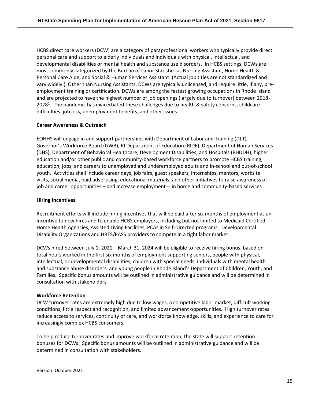HCBS direct care workers (DCW) are a category of paraprofessional workers who typically provide direct personal care and support to elderly individuals and individuals with physical, intellectual, and developmental disabilities or mental health and substance use disorders. In HCBS settings, DCWs are most commonly categorized by the Bureau of Labor Statistics as Nursing Assistant, Home Health & Personal Care Aide, and Social & Human Services Assistant. (Actual job titles are not standardized and vary widely.) Other than Nursing Assistants, DCWs are typically unlicensed, and require little, if any, preemployment training or certification. DCWs are among the fastest growing occupations in Rhode Island and are projected to have the highest number of job openings (largely due to turnover) between 2018- 2028<sup>1</sup>. The pandemic has exacerbated these challenges due to health & safety concerns, childcare difficulties, job loss, unemployment benefits, and other issues.

### **Career Awareness & Outreach**

EOHHS will engage in and support partnerships with Department of Labor and Training (DLT), Governor's Workforce Board (GWB), RI Department of Education (RIDE), Department of Human Services (DHS), Department of Behavioral Healthcare, Development Disabilities, and Hospitals (BHDDH), higher education and/or other public and community-based workforce partners to promote HCBS training, education, jobs, and careers to unemployed and underemployed adults and in-school and out-of-school youth. Activities shall include career days, job fairs, guest speakers, internships, mentors, worksite visits, social media, paid advertising, educational materials, and other initiatives to raise awareness of job and career opportunities – and increase employment -- in home and community-based services

### **Hiring Incentives**

Recruitment efforts will include hiring incentives that will be paid after six months of employment as an incentive to new hires and to enable HCBS employers, including but not limited to Medicaid Certified Home Health Agencies, Assisted Living Facilities, PCAs in Self-Directed programs, Developmental Disability Organizations and HBTS/PASS providers to compete in a tight labor market.

DCWs hired between July 1, 2021 – March 31, 2024 will be eligible to receive hiring bonus, based on total hours worked in the first six months of employment supporting seniors, people with physical, intellectual, or developmental disabilities, children with special needs, individuals with mental health and substance abuse disorders, and young people in Rhode Island's Department of Children, Youth, and Families. Specific bonus amounts will be outlined in administrative guidance and will be determined in consultation with stakeholders.

### **Workforce Retention**

DCW turnover rates are extremely high due to low wages, a competitive labor market, difficult working conditions, little respect and recognition, and limited advancement opportunities. High turnover rates reduce access to services, continuity of care, and workforce knowledge, skills, and experience to care for increasingly complex HCBS consumers.

To help reduce turnover rates and improve workforce retention, the state will support retention bonuses for DCWs. Specific bonus amounts will be outlined in administrative guidance and will be determined in consultation with stakeholders.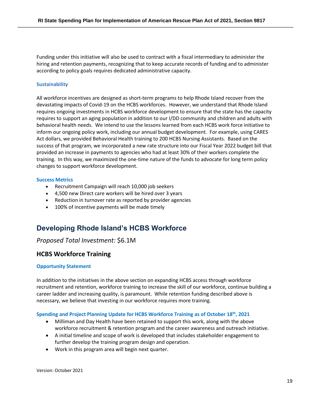Funding under this initiative will also be used to contract with a fiscal intermediary to administer the hiring and retention payments, recognizing that to keep accurate records of funding and to administer according to policy goals requires dedicated administrative capacity.

### **Sustainability**

All workforce incentives are designed as short-term programs to help Rhode Island recover from the devastating impacts of Covid-19 on the HCBS workforces. However, we understand that Rhode Island requires ongoing investments in HCBS workforce development to ensure that the state has the capacity requires to support an aging population in addition to our I/DD community and children and adults with behavioral health needs. We intend to use the lessons learned from each HCBS work force initiative to inform our ongoing policy work, including our annual budget development. For example, using CARES Act dollars, we provided Behavioral Health training to 200 HCBS Nursing Assistants. Based on the success of that program, we incorporated a new rate structure into our Fiscal Year 2022 budget bill that provided an increase in payments to agencies who had at least 30% of their workers complete the training. In this way, we maximized the one-time nature of the funds to advocate for long term policy changes to support workforce development.

### **Success Metrics**

- Recruitment Campaign will reach 10,000 job seekers
- 4,500 new Direct care workers will be hired over 3 years
- Reduction in turnover rate as reported by provider agencies
- 100% of incentive payments will be made timely

## **Developing Rhode Island's HCBS Workforce**

### *Proposed Total Investment:* \$6.1M

### **HCBS Workforce Training**

### **Opportunity Statement**

In addition to the initiatives in the above section on expanding HCBS access through workforce recruitment and retention, workforce training to increase the skill of our workforce, continue building a career ladder and increasing quality, is paramount. While retention funding described above is necessary, we believe that investing in our workforce requires more training.

### **Spending and Project Planning Update for HCBS Workforce Training as of October 18th, 2021**

- Milliman and Day Health have been retained to support this work, along with the above workforce recruitment & retention program and the career awareness and outreach initiative.
- A initial timeline and scope of work is developed that includes stakeholder engagement to further develop the training program design and operation.
- Work in this program area will begin next quarter.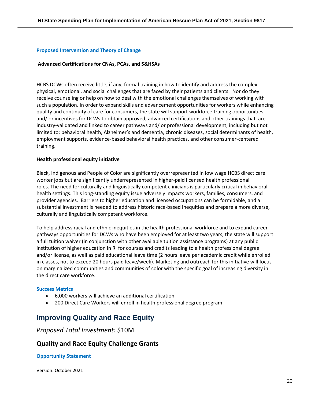### **Proposed Intervention and Theory of Change**

#### **Advanced Certifications for CNAs, PCAs, and S&HSAs**

HCBS DCWs often receive little, if any, formal training in how to identify and address the complex physical, emotional, and social challenges that are faced by their patients and clients. Nor do they receive counseling or help on how to deal with the emotional challenges themselves of working with such a population. In order to expand skills and advancement opportunities for workers while enhancing quality and continuity of care for consumers, the state will support workforce training opportunities and/ or incentives for DCWs to obtain approved, advanced certifications and other trainings that are industry-validated and linked to career pathways and/ or professional development, including but not limited to: behavioral health, Alzheimer's and dementia, chronic diseases, social determinants of health, employment supports, evidence-based behavioral health practices, and other consumer-centered training.

#### **Health professional equity initiative**

Black, Indigenous and People of Color are significantly overrepresented in low wage HCBS direct care worker jobs but are significantly underrepresented in higher-paid licensed health professional roles. The need for culturally and linguistically competent clinicians is particularly critical in behavioral health settings. This long-standing equity issue adversely impacts workers, families, consumers, and provider agencies. Barriers to higher education and licensed occupations can be formidable, and a substantial investment is needed to address historic race-based inequities and prepare a more diverse, culturally and linguistically competent workforce.

To help address racial and ethnic inequities in the health professional workforce and to expand career pathways opportunities for DCWs who have been employed for at least two years, the state will support a full tuition waiver (in conjunction with other available tuition assistance programs) at any public institution of higher education in RI for courses and credits leading to a health professional degree and/or license, as well as paid educational leave time (2 hours leave per academic credit while enrolled in classes, not to exceed 20 hours paid leave/week). Marketing and outreach for this initiative will focus on marginalized communities and communities of color with the specific goal of increasing diversity in the direct care workforce.

#### **Success Metrics**

- 6,000 workers will achieve an additional certification
- 200 Direct Care Workers will enroll in health professional degree program

### **Improving Quality and Race Equity**

*Proposed Total Investment:* \$10M

### **Quality and Race Equity Challenge Grants**

#### **Opportunity Statement**

Version: October 2021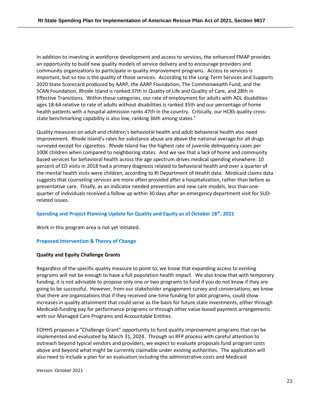In addition to investing in workforce development and access to services, the enhanced FMAP provides an opportunity to build new quality models of service delivery and to encourage providers and community organizations to participate in quality improvement programs. Access to services is important, but so too is the quality of those services. According to the Long-Term Services and Supports 2020 State Scorecard produced by AARP, the AARP Foundation, The Commonwealth Fund, and the SCAN Foundation, Rhode Island is ranked 37th in Quality of Life and Quality of Care, and 28th in Effective Transitions. Within those categories, our rate of employment for adults with ADL disabilities ages 18-64 relative to rate of adults without disabilities is ranked 35th and our percentage of home health patients with a hospital admission ranks 47th in the country. Critically, our HCBS quality crossstate benchmarking capability is also low, ranking 36th among states.<sup>1</sup>

Quality measures on adult and children's behavioral health and adult behavioral health also need improvement. Rhode Island's rates for substance abuse are above the national average for all drugs surveyed except for cigarettes. Rhode Island has the highest rate of juvenile delinquency cases per 100K children when compared to neighboring states. And we see that a lack of home and community based services for behavioral health across the age spectrum drives medical spending elsewhere: 10 percent of ED visits in 2018 had a primary diagnosis related to behavioral health and over a quarter of the mental health visits were children, according to RI Department of Health data. Medicaid claims data suggests that counseling services are more often provided after a hospitalization, rather than before as preventative care. Finally, as an indicator needed prevention and new care models, less than onequarter of individuals received a follow up within 30 days after an emergency department visit for SUDrelated issues.

### **Spending and Project Planning Update for Quality and Equity as of October 18th, 2021**

Work in this program area is not yet initiated.

### **Proposed Intervention & Theory of Change**

### **Quality and Equity Challenge Grants**

Regardless of the specific quality measure to point to, we know that expanding access to existing programs will not be enough to have a full population health impact. We also know that with temporary funding, it is not advisable to propose only one or two programs to fund if you do not know if they are going to be successful. However, from our stakeholder engagement survey and conversations, we know that there are organizations that if they received one-time funding for pilot programs, could show increases in quality attainment that could serve as the basis for future state investments, either through Medicaid-funding pay for performance programs or through other value-based payment arrangements with our Managed Care Programs and Accountable Entities.

EOHHS proposes a "Challenge Grant" opportunity to fund quality improvement programs that can be implemented and evaluated by March 31, 2024. Through an RFP process with careful attention to outreach beyond typical vendors and providers, we expect to evaluate proposals fund program costs above and beyond what might be currently claimable under existing authorities. The application will also need to include a plan for an evaluation including the administrative costs and Medicaid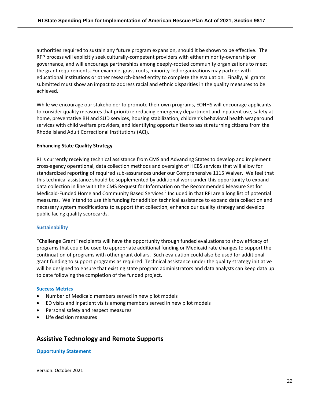authorities required to sustain any future program expansion, should it be shown to be effective. The RFP process will explicitly seek culturally-competent providers with either minority-ownership or governance, and will encourage partnerships among deeply-rooted community organizations to meet the grant requirements. For example, grass roots, minority-led organizations may partner with educational institutions or other research-based entity to complete the evaluation. Finally, all grants submitted must show an impact to address racial and ethnic disparities in the quality measures to be achieved.

While we encourage our stakeholder to promote their own programs, EOHHS will encourage applicants to consider quality measures that prioritize reducing emergency department and inpatient use, safety at home, preventative BH and SUD services, housing stabilization, children's behavioral health wraparound services with child welfare providers, and identifying opportunities to assist returning citizens from the Rhode Island Adult Correctional Institutions (ACI).

### **Enhancing State Quality Strategy**

RI is currently receiving technical assistance from CMS and Advancing States to develop and implement cross-agency operational, data collection methods and oversight of HCBS services that will allow for standardized reporting of required sub-assurances under our Comprehensive 1115 Waiver. We feel that this technical assistance should be supplemented by additional work under this opportunity to expand data collection in line with the CMS Request for Information on the Recommended Measure Set for Medicaid-Funded Home and Community Based Services.<sup>2</sup> Included in that RFI are a long list of potential measures. We intend to use this funding for addition technical assistance to expand data collection and necessary system modifications to support that collection, enhance our quality strategy and develop public facing quality scorecards.

### **Sustainability**

"Challenge Grant" recipients will have the opportunity through funded evaluations to show efficacy of programs that could be used to appropriate additional funding or Medicaid rate changes to support the continuation of programs with other grant dollars. Such evaluation could also be used for additional grant funding to support programs as required. Technical assistance under the quality strategy initiative will be designed to ensure that existing state program administrators and data analysts can keep data up to date following the completion of the funded project.

### **Success Metrics**

- Number of Medicaid members served in new pilot models
- ED visits and inpatient visits among members served in new pilot models
- Personal safety and respect measures
- Life decision measures

### **Assistive Technology and Remote Supports**

### **Opportunity Statement**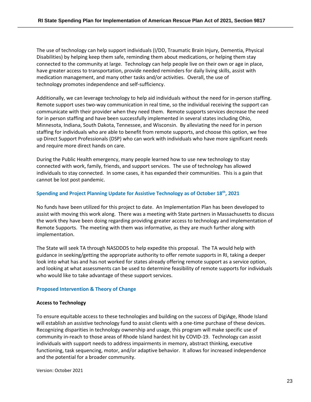The use of technology can help support individuals (I/DD, Traumatic Brain Injury, Dementia, Physical Disabilities) by helping keep them safe, reminding them about medications, or helping them stay connected to the community at large. Technology can help people live on their own or age in place, have greater access to transportation, provide needed reminders for daily living skills, assist with medication management, and many other tasks and/or activities. Overall, the use of technology promotes independence and self-sufficiency.

Additionally, we can leverage technology to help aid individuals without the need for in-person staffing. Remote support uses two-way communication in real time, so the individual receiving the support can communicate with their provider when they need them. Remote supports services decrease the need for in person staffing and have been successfully implemented in several states including Ohio, Minnesota, Indiana, South Dakota, Tennessee, and Wisconsin. By alleviating the need for in person staffing for individuals who are able to benefit from remote supports, and choose this option, we free up Direct Support Professionals (DSP) who can work with individuals who have more significant needs and require more direct hands on care.

During the Public Health emergency, many people learned how to use new technology to stay connected with work, family, friends, and support services. The use of technology has allowed individuals to stay connected. In some cases, it has expanded their communities. This is a gain that cannot be lost post pandemic.

### **Spending and Project Planning Update for Assistive Technology as of October 18th, 2021**

No funds have been utilized for this project to date. An Implementation Plan has been developed to assist with moving this work along. There was a meeting with State partners in Massachusetts to discuss the work they have been doing regarding providing greater access to technology and implementation of Remote Supports. The meeting with them was informative, as they are much further along with implementation.

The State will seek TA through NASDDDS to help expedite this proposal. The TA would help with guidance in seeking/getting the appropriate authority to offer remote supports in RI, taking a deeper look into what has and has not worked for states already offering remote support as a service option, and looking at what assessments can be used to determine feasibility of remote supports for individuals who would like to take advantage of these support services.

### **Proposed Intervention & Theory of Change**

### **Access to Technology**

To ensure equitable access to these technologies and building on the success of DigiAge, Rhode Island will establish an assistive technology fund to assist clients with a one-time purchase of these devices. Recognizing disparities in technology ownership and usage, this program will make specific use of community in-reach to those areas of Rhode Island hardest hit by COVID-19. Technology can assist individuals with support needs to address impairments in memory, abstract thinking, executive functioning, task sequencing, motor, and/or adaptive behavior. It allows for increased independence and the potential for a broader community.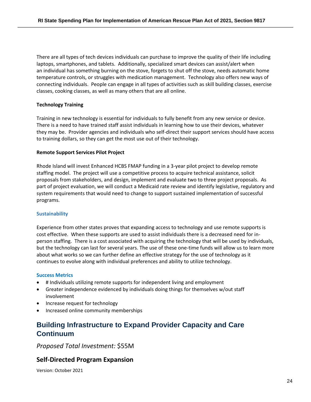There are all types of tech devices individuals can purchase to improve the quality of their life including laptops, smartphones, and tablets. Additionally, specialized smart devices can assist/alert when an individual has something burning on the stove, forgets to shut off the stove, needs automatic home temperature controls, or struggles with medication management. Technology also offers new ways of connecting individuals. People can engage in all types of activities such as skill building classes, exercise classes, cooking classes, as well as many others that are all online.

### **Technology Training**

Training in new technology is essential for individuals to fully benefit from any new service or device. There is a need to have trained staff assist individuals in learning how to use their devices, whatever they may be. Provider agencies and individuals who self-direct their support services should have access to training dollars, so they can get the most use out of their technology.

### **Remote Support Services Pilot Project**

Rhode Island will invest Enhanced HCBS FMAP funding in a 3-year pilot project to develop remote staffing model. The project will use a competitive process to acquire technical assistance, solicit proposals from stakeholders, and design, implement and evaluate two to three project proposals. As part of project evaluation, we will conduct a Medicaid rate review and identify legislative, regulatory and system requirements that would need to change to support sustained implementation of successful programs.

### **Sustainability**

Experience from other states proves that expanding access to technology and use remote supports is cost effective. When these supports are used to assist individuals there is a decreased need for inperson staffing. There is a cost associated with acquiring the technology that will be used by individuals, but the technology can last for several years. The use of these one-time funds will allow us to learn more about what works so we can further define an effective strategy for the use of technology as it continues to evolve along with individual preferences and ability to utilize technology.

### **Success Metrics**

- # Individuals utilizing remote supports for independent living and employment
- Greater independence evidenced by individuals doing things for themselves w/out staff involvement
- Increase request for technology
- Increased online community memberships

## **Building Infrastructure to Expand Provider Capacity and Care Continuum**

*Proposed Total Investment:* \$55M

### **Self-Directed Program Expansion**

Version: October 2021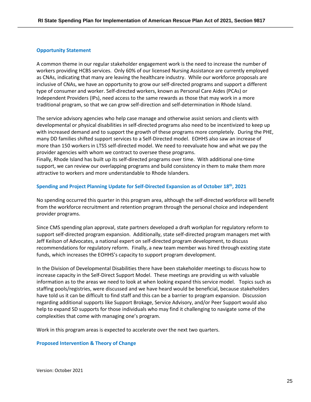### **Opportunity Statement**

A common theme in our regular stakeholder engagement work is the need to increase the number of workers providing HCBS services. Only 60% of our licensed Nursing Assistance are currently employed as CNAs, indicating that many are leaving the healthcare industry. While our workforce proposals are inclusive of CNAs, we have an opportunity to grow our self-directed programs and support a different type of consumer and worker. Self-directed workers, known as Personal Care Aides (PCAs) or Independent Providers (IPs), need access to the same rewards as those that may work in a more traditional program, so that we can grow self-direction and self-determination in Rhode Island.

The service advisory agencies who help case manage and otherwise assist seniors and clients with developmental or physical disabilities in self-directed programs also need to be incentivized to keep up with increased demand and to support the growth of these programs more completely. During the PHE, many DD families shifted support services to a Self-Directed model. EOHHS also saw an increase of more than 150 workers in LTSS self-directed model. We need to reevaluate how and what we pay the provider agencies with whom we contract to oversee these programs.

Finally, Rhode Island has built up its self-directed programs over time. With additional one-time support, we can review our overlapping programs and build consistency in them to make them more attractive to workers and more understandable to Rhode Islanders.

### **Spending and Project Planning Update for Self-Directed Expansion as of October 18th, 2021**

No spending occurred this quarter in this program area, although the self-directed workforce will benefit from the workforce recruitment and retention program through the personal choice and independent provider programs.

Since CMS spending plan approval, state partners developed a draft workplan for regulatory reform to support self-directed program expansion. Additionally, state self-directed program managers met with Jeff Keilson of Advocates, a national expert on self-directed program development, to discuss recommendations for regulatory reform. Finally, a new team member was hired through existing state funds, which increases the EOHHS's capacity to support program development.

In the Division of Developmental Disabilities there have been stakeholder meetings to discuss how to increase capacity in the Self-Direct Support Model. These meetings are providing us with valuable information as to the areas we need to look at when looking expand this service model. Topics such as staffing pools/registries, were discussed and we have heard would be beneficial, because stakeholders have told us it can be difficult to find staff and this can be a barrier to program expansion. Discussion regarding additional supports like Support Brokage, Service Advisory, and/or Peer Support would also help to expand SD supports for those individuals who may find it challenging to navigate some of the complexities that come with managing one's program.

Work in this program areas is expected to accelerate over the next two quarters.

### **Proposed Intervention & Theory of Change**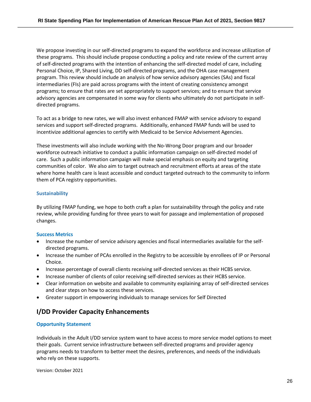We propose investing in our self-directed programs to expand the workforce and increase utilization of these programs. This should include propose conducting a policy and rate review of the current array of self-directed programs with the intention of enhancing the self-directed model of care, including Personal Choice, IP, Shared Living, DD self-directed programs, and the OHA case management program. This review should include an analysis of how service advisory agencies (SAs) and fiscal intermediaries (FIs) are paid across programs with the intent of creating consistency amongst programs; to ensure that rates are set appropriately to support services; and to ensure that service advisory agencies are compensated in some way for clients who ultimately do not participate in selfdirected programs.

To act as a bridge to new rates, we will also invest enhanced FMAP with service advisory to expand services and support self-directed programs. Additionally, enhanced FMAP funds will be used to incentivize additional agencies to certify with Medicaid to be Service Advisement Agencies.

These investments will also include working with the No-Wrong Door program and our broader workforce outreach initiative to conduct a public information campaign on self-directed model of care. Such a public information campaign will make special emphasis on equity and targeting communities of color. We also aim to target outreach and recruitment efforts at areas of the state where home health care is least accessible and conduct targeted outreach to the community to inform them of PCA registry opportunities.

### **Sustainability**

By utilizing FMAP funding, we hope to both craft a plan for sustainability through the policy and rate review, while providing funding for three years to wait for passage and implementation of proposed changes.

### **Success Metrics**

- Increase the number of service advisory agencies and fiscal intermediaries available for the selfdirected programs.
- Increase the number of PCAs enrolled in the Registry to be accessible by enrollees of IP or Personal Choice.
- Increase percentage of overall clients receiving self-directed services as their HCBS service.
- Increase number of clients of color receiving self-directed services as their HCBS service.
- Clear information on website and available to community explaining array of self-directed services and clear steps on how to access these services.
- Greater support in empowering individuals to manage services for Self Directed

### **I/DD Provider Capacity Enhancements**

### **Opportunity Statement**

Individuals in the Adult I/DD service system want to have access to more service model options to meet their goals. Current service infrastructure between self-directed programs and provider agency programs needs to transform to better meet the desires, preferences, and needs of the individuals who rely on these supports.

Version: October 2021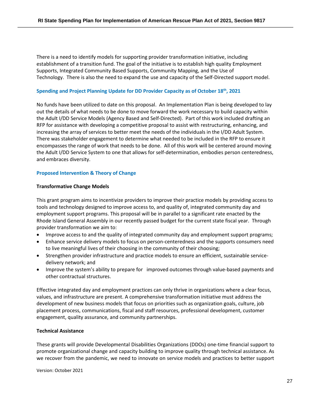There is a need to identify models for supporting provider transformation initiative, including establishment of a transition fund. The goal of the initiative is to establish high quality Employment Supports, Integrated Community Based Supports, Community Mapping, and the Use of Technology. There is also the need to expand the use and capacity of the Self-Directed support model.

### **Spending and Project Planning Update for DD Provider Capacity as of October 18th, 2021**

No funds have been utilized to date on this proposal. An Implementation Plan is being developed to lay out the details of what needs to be done to move forward the work necessary to build capacity within the Adult I/DD Service Models (Agency Based and Self-Directed). Part of this work included drafting an RFP for assistance with developing a competitive proposal to assist with restructuring, enhancing, and increasing the array of services to better meet the needs of the individuals in the I/DD Adult System. There was stakeholder engagement to determine what needed to be included in the RFP to ensure it encompasses the range of work that needs to be done. All of this work will be centered around moving the Adult I/DD Service System to one that allows for self-determination, embodies person centeredness, and embraces diversity.

### **Proposed Intervention & Theory of Change**

### **Transformative Change Models**

This grant program aims to incentivize providers to improve their practice models by providing access to tools and technology designed to improve access to, and quality of, integrated community day and employment support programs. This proposal will be in parallel to a significant rate enacted by the Rhode Island General Assembly in our recently passed budget for the current state fiscal year. Through provider transformation we aim to:

- Improve access to and the quality of integrated community day and employment support programs;
- Enhance service delivery models to focus on person-centeredness and the supports consumers need to live meaningful lives of their choosing in the community of their choosing;
- Strengthen provider infrastructure and practice models to ensure an efficient, sustainable servicedelivery network; and
- Improve the system's ability to prepare for improved outcomes through value-based payments and other contractual structures.

Effective integrated day and employment practices can only thrive in organizations where a clear focus, values, and infrastructure are present. A comprehensive transformation initiative must address the development of new business models that focus on priorities such as organization goals, culture, job placement process, communications, fiscal and staff resources, professional development, customer engagement, quality assurance, and community partnerships.

### **Technical Assistance**

These grants will provide Developmental Disabilities Organizations (DDOs) one-time financial support to promote organizational change and capacity building to improve quality through technical assistance. As we recover from the pandemic, we need to innovate on service models and practices to better support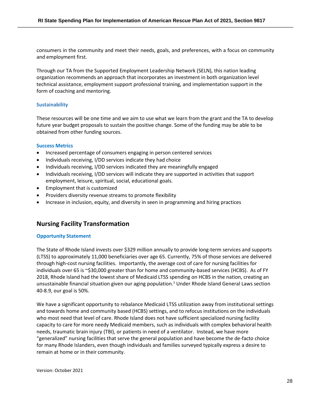consumers in the community and meet their needs, goals, and preferences, with a focus on community and employment first.

Through our TA from the Supported Employment Leadership Network (SELN), this nation leading organization recommends an approach that incorporates an investment in both organization level technical assistance, employment support professional training, and implementation support in the form of coaching and mentoring.

### **Sustainability**

These resources will be one time and we aim to use what we learn from the grant and the TA to develop future year budget proposals to sustain the positive change. Some of the funding may be able to be obtained from other funding sources.

### **Success Metrics**

- Increased percentage of consumers engaging in person centered services
- Individuals receiving, I/DD services indicate they had choice
- Individuals receiving, I/DD services indicated they are meaningfully engaged
- Individuals receiving, I/DD services will indicate they are supported in activities that support employment, leisure, spiritual, social, educational goals.
- Employment that is customized
- Providers diversity revenue streams to promote flexibility
- Increase in inclusion, equity, and diversity in seen in programming and hiring practices

### **Nursing Facility Transformation**

### **Opportunity Statement**

The State of Rhode Island invests over \$329 million annually to provide long-term services and supports (LTSS) to approximately 11,000 beneficiaries over age 65. Currently, 75% of those services are delivered through high-cost nursing facilities. Importantly, the average cost of care for nursing facilities for individuals over 65 is ~\$30,000 greater than for home and community-based services (HCBS). As of FY 2018, Rhode Island had the lowest share of Medicaid LTSS spending on HCBS in the nation, creating an unsustainable financial situation given our aging population. <sup>1</sup> Under Rhode Island General Laws section 40-8.9, our goal is 50%.

We have a significant opportunity to rebalance Medicaid LTSS utilization away from institutional settings and towards home and community based (HCBS) settings, and to refocus institutions on the individuals who most need that level of care. Rhode Island does not have sufficient specialized nursing facility capacity to care for more needy Medicaid members, such as individuals with complex behavioral health needs, traumatic brain injury (TBI), or patients in need of a ventilator. Instead, we have more "generalized" nursing facilities that serve the general population and have become the de-facto choice for many Rhode Islanders, even though individuals and families surveyed typically express a desire to remain at home or in their community.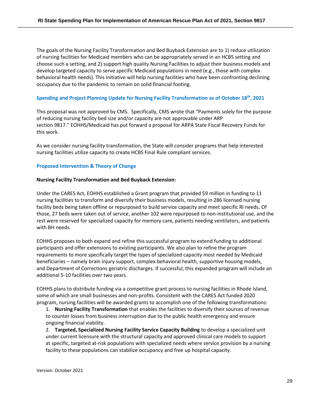The goals of the Nursing Facility Transformation and Bed Buyback Extension are to 1) reduce utilization of nursing facilities for Medicaid members who can be appropriately served in an HCBS setting and choose such a setting, and 2) support high quality Nursing Facilities to adjust their business models and develop targeted capacity to serve specific Medicaid populations in need (e.g., those with complex behavioral health needs). This initiative will help nursing facilities who have been confronting declining occupancy due to the pandemic to remain on solid financial footing.

### **Spending and Project Planning Update for Nursing Facility Transformation as of October 18th, 2021**

This proposal was not approved by CMS. Specifically, CMS wrote that "Payments solely for the purpose of reducing nursing facility bed size and/or capacity are not approvable under ARP section 9817." EOHHS/Medicaid has put forward a proposal for ARPA State Fiscal Recovery Funds for this work.

As we consider nursing facility transformation, the State will consider programs that help interested nursing facilities utilize capacity to create HCBS Final Rule compliant services.

### **Proposed Intervention & Theory of Change**

### **Nursing Facility Transformation and Bed Buyback Extension:**

Under the CARES Act, EOHHS established a Grant program that provided \$9 million in funding to 11 nursing facilities to transform and diversify their business models, resulting in 286 licensed nursing facility beds being taken offline or repurposed to build service capacity and meet specific RI needs. Of those, 27 beds were taken out of service, another 102 were repurposed to non-institutional use, and the rest were reserved for specialized capacity for memory care, patients needing ventilators, and patients with BH needs.

EOHHS proposes to both expand and refine this successful program to extend funding to additional participants and offer extensions to existing participants. We also plan to refine the program requirements to more specifically target the types of specialized capacity most needed by Medicaid beneficiaries – namely brain injury support, complex behavioral health, supportive housing models, and Department of Corrections geriatric discharges. If successful, this expanded program will include an additional 5-10 facilities over two years.

EOHHS plans to distribute funding via a competitive grant process to nursing facilities in Rhode Island, some of which are small businesses and non-profits. Consistent with the CARES Act funded 2020 program, nursing facilities will be awarded grants to accomplish one of the following transformations:

1. **Nursing Facility Transformation** that enables the facilities to diversify their sources of revenue to counter losses from business interruption due to the public health emergency and ensure ongoing financial viability.

2. **Targeted, Specialized Nursing Facility Service Capacity Building** to develop a specialized unit under current licensure with the structural capacity and approved clinical care models to support at specific, targeted at-risk populations with specialized needs where service provision by a nursing facility to these populations can stabilize occupancy and free up hospital capacity.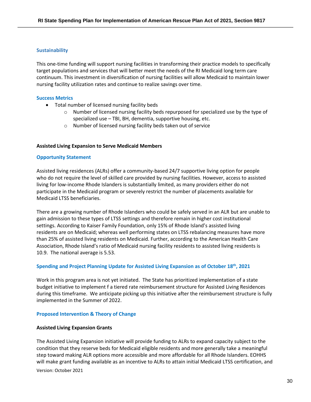### **Sustainability**

This one-time funding will support nursing facilities in transforming their practice models to specifically target populations and services that will better meet the needs of the RI Medicaid long term care continuum. This investment in diversification of nursing facilities will allow Medicaid to maintain lower nursing facility utilization rates and continue to realize savings over time.

### **Success Metrics**

- Total number of licensed nursing facility beds
	- $\circ$  Number of licensed nursing facility beds repurposed for specialized use by the type of specialized use – TBI, BH, dementia, supportive housing, etc.
	- o Number of licensed nursing facility beds taken out of service

### **Assisted Living Expansion to Serve Medicaid Members**

### **Opportunity Statement**

Assisted living residences (ALRs) offer a community-based 24/7 supportive living option for people who do not require the level of skilled care provided by nursing facilities. However, access to assisted living for low-income Rhode Islanders is substantially limited, as many providers either do not participate in the Medicaid program or severely restrict the number of placements available for Medicaid LTSS beneficiaries.

There are a growing number of Rhode Islanders who could be safely served in an ALR but are unable to gain admission to these types of LTSS settings and therefore remain in higher cost institutional settings. According to Kaiser Family Foundation, only 15% of Rhode Island's assisted living residents are on Medicaid; whereas well performing states on LTSS rebalancing measures have more than 25% of assisted living residents on Medicaid. Further, according to the American Health Care Association, Rhode Island's ratio of Medicaid nursing facility residents to assisted living residents is 10.9. The national average is 5.53.

### **Spending and Project Planning Update for Assisted Living Expansion as of October 18th, 2021**

Work in this program area is not yet initiated. The State has prioritized implementation of a state budget initiative to implement f a tiered rate reimbursement structure for Assisted Living Residences during this timeframe. We anticipate picking up this initiative after the reimbursement structure is fully implemented in the Summer of 2022.

### **Proposed Intervention & Theory of Change**

### **Assisted Living Expansion Grants**

Version: October 2021 The Assisted Living Expansion initiative will provide funding to ALRs to expand capacity subject to the condition that they reserve beds for Medicaid eligible residents and more generally take a meaningful step toward making ALR options more accessible and more affordable for all Rhode Islanders. EOHHS will make grant funding available as an incentive to ALRs to attain initial Medicaid LTSS certification, and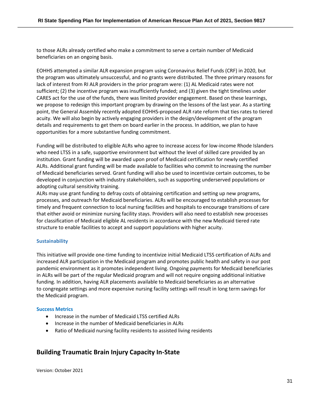to those ALRs already certified who make a commitment to serve a certain number of Medicaid beneficiaries on an ongoing basis.

EOHHS attempted a similar ALR expansion program using Coronavirus Relief Funds (CRF) in 2020, but the program was ultimately unsuccessful, and no grants were distributed. The three primary reasons for lack of interest from RI ALR providers in the prior program were: (1) AL Medicaid rates were not sufficient; (2) the incentive program was insufficiently funded; and (3) given the tight timelines under CARES act for the use of the funds, there was limited provider engagement. Based on these learnings, we propose to redesign this important program by drawing on the lessons of the last year. As a starting point, the General Assembly recently adopted EOHHS-proposed ALR rate reform that ties rates to tiered acuity. We will also begin by actively engaging providers in the design/development of the program details and requirements to get them on board earlier in the process. In addition, we plan to have opportunities for a more substantive funding commitment.

Funding will be distributed to eligible ALRs who agree to increase access for low-income Rhode Islanders who need LTSS in a safe, supportive environment but without the level of skilled care provided by an institution. Grant funding will be awarded upon proof of Medicaid certification for newly certified ALRs. Additional grant funding will be made available to facilities who commit to increasing the number of Medicaid beneficiaries served. Grant funding will also be used to incentivize certain outcomes, to be developed in conjunction with industry stakeholders, such as supporting underserved populations or adopting cultural sensitivity training.

ALRs may use grant funding to defray costs of obtaining certification and setting up new programs, processes, and outreach for Medicaid beneficiaries. ALRs will be encouraged to establish processes for timely and frequent connection to local nursing facilities and hospitals to encourage transitions of care that either avoid or minimize nursing facility stays. Providers will also need to establish new processes for classification of Medicaid eligible AL residents in accordance with the new Medicaid tiered rate structure to enable facilities to accept and support populations with higher acuity.

### **Sustainability**

This initiative will provide one-time funding to incentivize initial Medicaid LTSS certification of ALRs and increased ALR participation in the Medicaid program and promotes public health and safety in our post pandemic environment as it promotes independent living. Ongoing payments for Medicaid beneficiaries in ALRs will be part of the regular Medicaid program and will not require ongoing additional initiative funding. In addition, having ALR placements available to Medicaid beneficiaries as an alternative to congregate settings and more expensive nursing facility settings will result in long term savings for the Medicaid program.

### **Success Metrics**

- Increase in the number of Medicaid LTSS certified ALRs
- Increase in the number of Medicaid beneficiaries in ALRs
- Ratio of Medicaid nursing facility residents to assisted living residents

### **Building Traumatic Brain Injury Capacity In-State**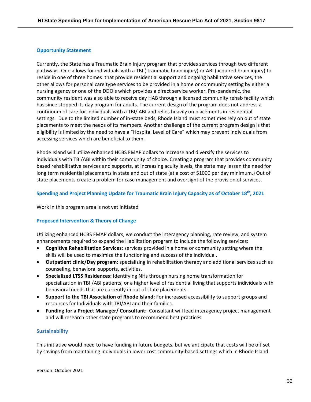### **Opportunity Statement**

Currently, the State has a Traumatic Brain Injury program that provides services through two different pathways. One allows for individuals with a TBI ( traumatic brain injury) or ABI (acquired brain injury) to reside in one of three homes that provide residential support and ongoing habilitative services, the other allows for personal care type services to be provided in a home or community setting by either a nursing agency or one of the DDO's which provides a direct service worker. Pre-pandemic, the community resident was also able to receive day HAB through a licensed community rehab facility which has since stopped its day program for adults. The current design of the program does not address a continuum of care for individuals with a TBI/ ABI and relies heavily on placements in residential settings. Due to the limited number of in-state beds, Rhode Island must sometimes rely on out of state placements to meet the needs of its members. Another challenge of the current program design is that eligibility is limited by the need to have a "Hospital Level of Care" which may prevent individuals from accessing services which are beneficial to them.

Rhode Island will utilize enhanced HCBS FMAP dollars to increase and diversify the services to individuals with TBI/ABI within their community of choice. Creating a program that provides community based rehabilitative services and supports, at increasing acuity levels, the state may lessen the need for long term residential placements in state and out of state (at a cost of \$1000 per day minimum.) Out of state placements create a problem for case management and oversight of the provision of services.

### **Spending and Project Planning Update for Traumatic Brain Injury Capacity as of October 18th, 2021**

Work in this program area is not yet initiated

### **Proposed Intervention & Theory of Change**

Utilizing enhanced HCBS FMAP dollars, we conduct the interagency planning, rate review, and system enhancements required to expand the Habilitation program to include the following services:

- **Cognitive Rehabilitation Services**: services provided in a home or community setting where the skills will be used to maximize the functioning and success of the individual.
- **Outpatient clinic/Day program:** specializing in rehabilitation therapy and additional services such as counseling, behavioral supports, activities.
- **Specialized LTSS Residences:** Identifying NHs through nursing home transformation for specialization in TBI /ABI patients, or a higher level of residential living that supports individuals with behavioral needs that are currently in out of state placements.
- **Support to the TBI Association of Rhode Island:** For increased accessibility to support groups and resources for Individuals with TBI/ABI and their families.
- **Funding for a Project Manager/ Consultant:** Consultant will lead interagency project management and will research other state programs to recommend best practices

### **Sustainability**

This initiative would need to have funding in future budgets, but we anticipate that costs will be off set by savings from maintaining individuals in lower cost community-based settings which in Rhode Island.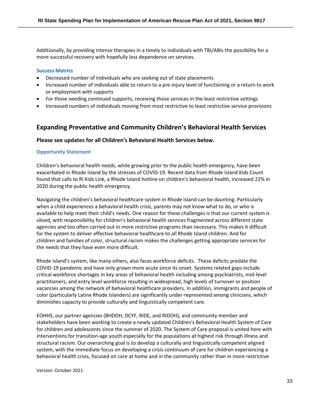Additionally, by providing intense therapies in a timely to individuals with TBI/ABIs the possibility for a more successful recovery with hopefully less dependence on services.

### **Success Metrics**

- Decreased number of individuals who are seeking out of state placements
- Increased number of individuals able to return to a pre-injury level of functioning or a return to work or employment with supports
- For those needing continued supports, receiving those services in the least restrictive settings
- Increased numbers of individuals moving from most restrictive to least restrictive service provisions

### **Expanding Preventative and Community Children's Behavioral Health Services**

### **Please see updates for all Children's Behavioral Health Services below.**

### **Opportunity Statement**

Children's behavioral health needs, while growing prior to the public health emergency, have been exacerbated in Rhode Island by the stresses of COVID-19. Recent data from Rhode Island Kids Count found that calls to RI Kids Link, a Rhode Island hotline on children's behavioral health, increased 22% in 2020 during the public health emergency.

Navigating the children's behavioral healthcare system in Rhode Island can be daunting. Particularly when a child experiences a behavioral health crisis, parents may not know what to do, or who is available to help meet their child's needs. One reason for these challenges is that our current system is siloed, with responsibility for children's behavioral health services fragmented across different state agencies and too often carried out in more restrictive programs than necessary. This makes it difficult for the system to deliver effective behavioral healthcare to all Rhode Island children. And for children and families of color, structural racism makes the challenges getting appropriate services for the needs that they have even more difficult.

Rhode Island's system, like many others, also faces workforce deficits. These deficits predate the COVID-19 pandemic and have only grown more acute since its onset. Systems related gaps include critical workforce shortages in key areas of behavioral health including among psychiatrists, mid-level practitioners, and entry level workforce resulting in widespread, high levels of turnover or position vacancies among the network of behavioral healthcare providers. In addition, immigrants and people of color (particularly Latinx Rhode Islanders) are significantly under-represented among clinicians, which diminishes capacity to provide culturally and linguistically competent care.

EOHHS, our partner agencies (BHDDH, DCYF, RIDE, and RIDOH), and community member and stakeholders have been working to create a newly updated Children's Behavioral Health System of Care for children and adolescents since the summer of 2020. The System of Care proposal is united here with interventions for transition-age youth especially for the populations at highest risk through illness and structural racism. Our overarching goal is to develop a culturally and linguistically competent aligned system, with the immediate focus on developing a crisis continuum of care for children experiencing a behavioral health crisis, focused on care at home and in the community rather than in more restrictive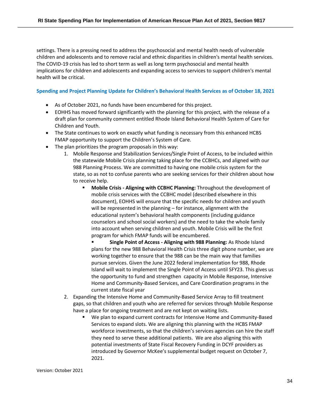settings. There is a pressing need to address the psychosocial and mental health needs of vulnerable children and adolescents and to remove racial and ethnic disparities in children's mental health services. The COVID-19 crisis has led to short term as well as long term psychosocial and mental health implications for children and adolescents and expanding access to services to support children's mental health will be critical.

### **Spending and Project Planning Update for Children's Behavioral Health Services as of October 18, 2021**

- As of October 2021, no funds have been encumbered for this project.
- EOHHS has moved forward significantly with the planning for this project, with the release of a draft plan for community comment entitled Rhode Island Behavioral Health System of Care for Children and Youth.
- The State continues to work on exactly what funding is necessary from this enhanced HCBS FMAP opportunity to support the Children's System of Care.
- The plan prioritizes the program proposals in this way:
	- 1. Mobile Response and Stabilization Services/Single Point of Access, to be included within the statewide Mobile Crisis planning taking place for the CCBHCs, and aligned with our 988 Planning Process. We are committed to having one mobile crisis system for the state, so as not to confuse parents who are seeking services for their children about how to receive help.
		- **Mobile Crisis - Aligning with CCBHC Planning:** Throughout the development of mobile crisis services with the CCBHC model (described elsewhere in this document), EOHHS will ensure that the specific needs for children and youth will be represented in the planning – for instance, alignment with the educational system's behavioral health components (including guidance counselors and school social workers) and the need to take the whole family into account when serving children and youth. Mobile Crisis will be the first program for which FMAP funds will be encumbered.
			- **Single Point of Access Aligning with 988 Planning:** As Rhode Island plans for the new 988 Behavioral Health Crisis three digit phone number, we are working together to ensure that the 988 can be the main way that families pursue services. Given the June 2022 federal implementation for 988, Rhode Island will wait to implement the Single Point of Access until SFY23. This gives us the opportunity to fund and strengthen capacity in Mobile Response, Intensive Home and Community-Based Services, and Care Coordination programs in the current state fiscal year
	- 2. Expanding the Intensive Home and Community-Based Service Array to fill treatment gaps, so that children and youth who are referred for services through Mobile Response have a place for ongoing treatment and are not kept on waiting lists.
		- We plan to expand current contracts for Intensive Home and Community-Based Services to expand slots. We are aligning this planning with the HCBS FMAP workforce investments, so that the children's services agencies can hire the staff they need to serve these additional patients. We are also aligning this with potential investments of State Fiscal Recovery Funding in DCYF providers as introduced by Governor McKee's supplemental budget request on October 7, 2021.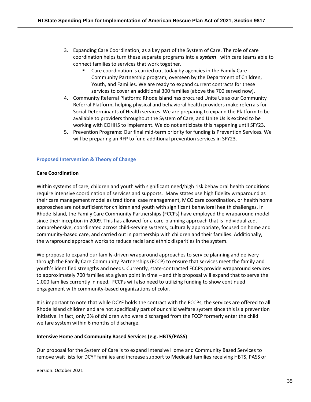- 3. Expanding Care Coordination, as a key part of the System of Care. The role of care coordination helps turn these separate programs into a *system* –with care teams able to connect families to services that work together.
	- Care coordination is carried out today by agencies in the Family Care Community Partnership program, overseen by the Department of Children, Youth, and Families. We are ready to expand current contracts for these services to cover an additional 300 families (above the 700 served now).
- 4. Community Referral Platform: Rhode Island has procured Unite Us as our Community Referral Platform, helping physical and behavioral health providers make referrals for Social Determinants of Health services. We are preparing to expand the Platform to be available to providers throughout the System of Care, and Unite Us is excited to be working with EOHHS to implement. We do not anticipate this happening until SFY23.
- 5. Prevention Programs: Our final mid-term priority for funding is Prevention Services. We will be preparing an RFP to fund additional prevention services in SFY23.

### **Proposed Intervention & Theory of Change**

### **Care Coordination**

Within systems of care, children and youth with significant need/high risk behavioral health conditions require intensive coordination of services and supports. Many states use high fidelity wraparound as their care management model as traditional case management, MCO care coordination, or health home approaches are not sufficient for children and youth with significant behavioral health challenges. In Rhode Island, the Family Care Community Partnerships (FCCPs) have employed the wraparound model since their inception in 2009. This has allowed for a care-planning approach that is individualized, comprehensive, coordinated across child-serving systems, culturally appropriate, focused on home and community-based care, and carried out in partnership with children and their families. Additionally, the wrapround approach works to reduce racial and ethnic disparities in the system.

We propose to expand our family-driven wraparound approaches to service planning and delivery through the Family Care Community Partnerships (FCCP) to ensure that services meet the family and youth's identified strengths and needs. Currently, state-contracted FCCPs provide wraparound services to approximately 700 families at a given point in time – and this proposal will expand that to serve the 1,000 families currently in need. FCCPs will also need to utilizing funding to show continued engagement with community-based organizations of color.

It is important to note that while DCYF holds the contract with the FCCPs, the services are offered to all Rhode Island children and are not specifically part of our child welfare system since this is a prevention initiative. In fact, only 3% of children who were discharged from the FCCP formerly enter the child welfare system within 6 months of discharge.

### **Intensive Home and Community Based Services (e.g. HBTS/PASS)**

Our proposal for the System of Care is to expand Intensive Home and Community Based Services to remove wait lists for DCYF families and increase support to Medicaid families receiving HBTS, PASS or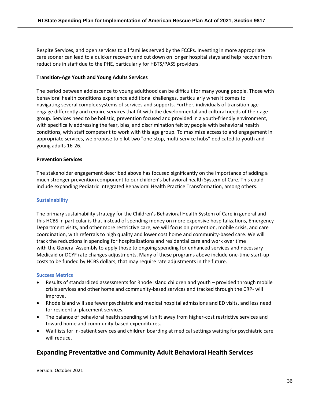Respite Services, and open services to all families served by the FCCPs. Investing in more appropriate care sooner can lead to a quicker recovery and cut down on longer hospital stays and help recover from reductions in staff due to the PHE, particularly for HBTS/PASS providers.

### **Transition-Age Youth and Young Adults Services**

The period between adolescence to young adulthood can be difficult for many young people. Those with behavioral health conditions experience additional challenges, particularly when it comes to navigating several complex systems of services and supports. Further, individuals of transition age engage differently and require services that fit with the developmental and cultural needs of their age group. Services need to be holistic, prevention focused and provided in a youth-friendly environment, with specifically addressing the fear, bias, and discrimination felt by people with behavioral health conditions, with staff competent to work with this age group. To maximize access to and engagement in appropriate services, we propose to pilot two "one-stop, multi-service hubs" dedicated to youth and young adults 16-26.

### **Prevention Services**

The stakeholder engagement described above has focused significantly on the importance of adding a much stronger prevention component to our children's behavioral health System of Care. This could include expanding Pediatric Integrated Behavioral Health Practice Transformation, among others.

### **Sustainability**

The primary sustainability strategy for the Children's Behavioral Health System of Care in general and this HCBS in particular is that instead of spending money on more expensive hospitalizations, Emergency Department visits, and other more restrictive care, we will focus on prevention, mobile crisis, and care coordination, with referrals to high quality and lower cost home and community-based care. We will track the reductions in spending for hospitalizations and residential care and work over time with the General Assembly to apply those to ongoing spending for enhanced services and necessary Medicaid or DCYF rate changes adjustments. Many of these programs above include one-time start-up costs to be funded by HCBS dollars, that may require rate adjustments in the future.

### **Success Metrics**

- Results of standardized assessments for Rhode Island children and youth provided through mobile crisis services and other home and community-based services and tracked through the CRP- will improve.
- Rhode Island will see fewer psychiatric and medical hospital admissions and ED visits, and less need for residential placement services.
- The balance of behavioral health spending will shift away from higher-cost restrictive services and toward home and community-based expenditures.
- Waitlists for in-patient services and children boarding at medical settings waiting for psychiatric care will reduce.

### **Expanding Preventative and Community Adult Behavioral Health Services**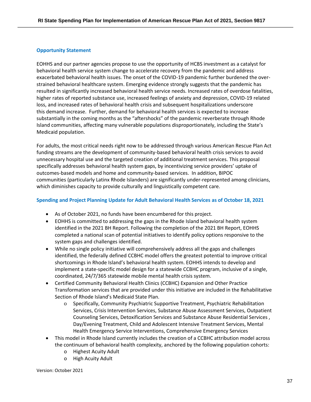### **Opportunity Statement**

EOHHS and our partner agencies propose to use the opportunity of HCBS investment as a catalyst for behavioral health service system change to accelerate recovery from the pandemic and address exacerbated behavioral health issues. The onset of the COVID-19 pandemic further burdened the overstrained behavioral healthcare system. Emerging evidence strongly suggests that the pandemic has resulted in significantly increased behavioral health service needs. Increased rates of overdose fatalities, higher rates of reported substance use, increased feelings of anxiety and depression, COVID-19 related loss, and increased rates of behavioral health crisis and subsequent hospitalizations underscore this demand increase. Further, demand for behavioral health services is expected to increase substantially in the coming months as the "aftershocks" of the pandemic reverberate through Rhode Island communities, affecting many vulnerable populations disproportionately, including the State's Medicaid population.

For adults, the most critical needs right now to be addressed through various American Rescue Plan Act funding streams are the development of community-based behavioral health crisis services to avoid unnecessary hospital use and the targeted creation of additional treatment services. This proposal specifically addresses behavioral health system gaps, by incentivizing service providers' uptake of outcomes-based models and home and community-based services. In addition, BIPOC communities (particularly Latinx Rhode Islanders) are significantly under-represented among clinicians, which diminishes capacity to provide culturally and linguistically competent care.

### **Spending and Project Planning Update for Adult Behavioral Health Services as of October 18, 2021**

- As of October 2021, no funds have been encumbered for this project.
- EOHHS is committed to addressing the gaps in the Rhode Island behavioral health system identified in the 2021 BH Report. Following the completion of the 2021 BH Report, EOHHS completed a national scan of potential initiatives to identify policy options responsive to the system gaps and challenges identified.
- While no single policy initiative will comprehensively address all the gaps and challenges identified, the federally defined CCBHC model offers the greatest potential to improve critical shortcomings in Rhode Island's behavioral health system. EOHHS intends to develop and implement a state-specific model design for a statewide CCBHC program, inclusive of a single, coordinated, 24/7/365 statewide mobile mental health crisis system.
- Certified Community Behavioral Health Clinics (CCBHC) Expansion and Other Practice Transformation services that are provided under this initiative are included in the Rehabilitative Section of Rhode Island's Medicaid State Plan.
	- o Specifically, Community Psychiatric Supportive Treatment, Psychiatric Rehabilitation Services, Crisis Intervention Services, Substance Abuse Assessment Services, Outpatient Counseling Services, Detoxification Services and Substance Abuse Residential Services , Day/Evening Treatment, Child and Adolescent Intensive Treatment Services, Mental Health Emergency Service Interventions, Comprehensive Emergency Services
- This model in Rhode Island currently includes the creation of a CCBHC attribution model across the continuum of behavioral health complexity, anchored by the following population cohorts:
	- o Highest Acuity Adult
	- o High Acuity Adult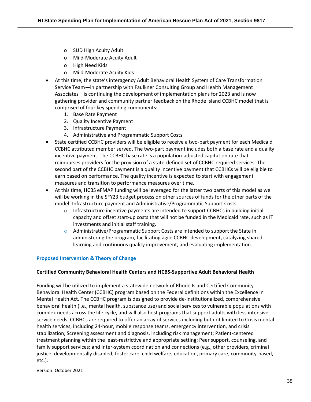- o SUD High Acuity Adult
- o Mild-Moderate Acuity Adult
- o High Need Kids
- o Mild-Moderate Acuity Kids
- At this time, the state's interagency Adult Behavioral Health System of Care Transformation Service Team—in partnership with Faulkner Consulting Group and Health Management Associates—is continuing the development of implementation plans for 2023 and is now gathering provider and community partner feedback on the Rhode Island CCBHC model that is comprised of four key spending components:
	- 1. Base Rate Payment
	- 2. Quality Incentive Payment
	- 3. Infrastructure Payment
	- 4. Administrative and Programmatic Support Costs
- State certified CCBHC providers will be eligible to receive a two-part payment for each Medicaid CCBHC attributed member served. The two-part payment includes both a base rate and a quality incentive payment. The CCBHC base rate is a population-adjusted capitation rate that reimburses providers for the provision of a state-defined set of CCBHC required services. The second part of the CCBHC payment is a quality incentive payment that CCBHCs will be eligible to earn based on performance. The quality incentive is expected to start with engagement measures and transition to performance measures over time.
- At this time, HCBS eFMAP funding will be leveraged for the latter two parts of this model as we will be working in the SFY23 budget process on other sources of funds for the other parts of the model: Infrastructure payment and Administrative/Programmatic Support Costs.
	- $\circ$  Infrastructure incentive payments are intended to support CCBHCs in building initial capacity and offset start-up costs that will not be funded in the Medicaid rate, such as IT investments and initial staff training.
	- $\circ$  Administrative/Programmatic Support Costs are intended to support the State in administering the program, facilitating agile CCBHC development, catalyzing shared learning and continuous quality improvement, and evaluating implementation.

### **Proposed Intervention & Theory of Change**

### **Certified Community Behavioral Health Centers and HCBS-Supportive Adult Behavioral Health**

Funding will be utilized to implement a statewide network of Rhode Island Certified Community Behavioral Health Center (CCBHC) program based on the Federal definitions within the Excellence in Mental Health Act. The CCBHC program is designed to provide de-institutionalized, comprehensive behavioral health (i.e., mental health, substance use) and social services to vulnerable populations with complex needs across the life cycle, and will also host programs that support adults with less intensive service needs. CCBHCs are required to offer an array of services including but not limited to Crisis mental health services, including 24-hour, mobile response teams, emergency intervention, and crisis stabilization; Screening assessment and diagnosis, including risk management; Patient-centered treatment planning within the least-restrictive and appropriate setting; Peer support, counseling, and family support services; and Inter-system coordination and connections (e.g., other providers, criminal justice, developmentally disabled, foster care, child welfare, education, primary care, community-based, etc.).

Version: October 2021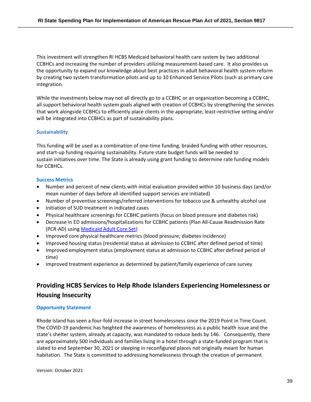This investment will strengthen RI HCBS Medicaid behavioral health care system by two additional CCBHCs and increasing the number of providers utilizing measurement-based care. It also provides us the opportunity to expand our knowledge about best practices in adult behavioral health system reform by creating two system transformation pilots and up to 10 Enhanced Service Pilots (such as primary care integration.

While the investments below may not all directly go to a CCBHC or an organization becoming a CCBHC, all support behavioral health system goals aligned with creation of CCBHCs by strengthening the services that work alongside CCBHCs to efficiently place clients in the appropriate, least-restrictive setting and/or will be integrated into CCBHCs as part of sustainability plans.

### **Sustainability**

This funding will be used as a combination of one-time funding, braided funding with other resources, and start-up funding requiring sustainability. Future state budget funds will be needed to sustain initiatives over time. The State is already using grant funding to determine rate funding models for CCBHCs.

### **Success Metrics**

- Number and percent of new clients with initial evaluation provided within 10 business days (and/or mean number of days before all identified support services are initiated)
- Number of preventive screenings/referred interventions for tobacco use & unhealthy alcohol use
- Initiation of SUD treatment in indicated cases
- Physical healthcare screenings for CCBHC patients (focus on blood pressure and diabetes risk)
- Decrease in ED admissions/hospitalizations for CCBHC patients (Plan All-Cause Readmission Rate (PCR-AD) using Medicaid Adult Core Set)
- Improved core physical healthcare metrics (blood pressure; diabetes incidence)
- Improved housing status (residential status at admission to CCBHC after defined period of time)
- Improved employment status (employment status at admission to CCBHC after defined period of time)
- Improved treatment experience as determined by patient/family experience of care survey

## **Providing HCBS Services to Help Rhode Islanders Experiencing Homelessness or Housing Insecurity**

### **Opportunity Statement**

Rhode Island has seen a four-fold increase in street homelessness since the 2019 Point in Time Count. The COVID-19 pandemic has heighted the awareness of homelessness as a public health issue and the state's shelter system, already at capacity, was mandated to reduce beds by 146. Consequently, there are approximately 500 individuals and families living in a hotel through a state-funded program that is slated to end September 30, 2021 or sleeping in reconfigured places not originally meant for human habitation. The State is committed to addressing homelessness through the creation of permanent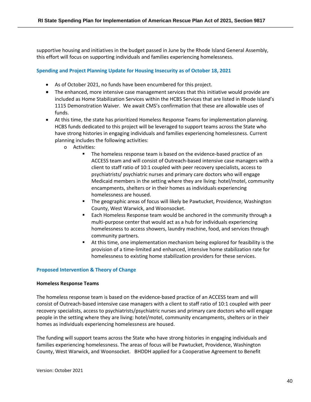supportive housing and initiatives in the budget passed in June by the Rhode Island General Assembly, this effort will focus on supporting individuals and families experiencing homelessness.

### **Spending and Project Planning Update for Housing Insecurity as of October 18, 2021**

- As of October 2021, no funds have been encumbered for this project.
- The enhanced, more intensive case management services that this initiative would provide are included as Home Stabilization Services within the HCBS Services that are listed in Rhode Island's 1115 Demonstration Waiver. We await CMS's confirmation that these are allowable uses of funds.
- At this time, the state has prioritized Homeless Response Teams for implementation planning. HCBS funds dedicated to this project will be leveraged to support teams across the State who have strong histories in engaging individuals and families experiencing homelessness. Current planning includes the following activities:
	- o Activities:
		- The homeless response team is based on the evidence-based practice of an ACCESS team and will consist of Outreach-based intensive case managers with a client to staff ratio of 10:1 coupled with peer recovery specialists, access to psychiatrists/ psychiatric nurses and primary care doctors who will engage Medicaid members in the setting where they are living: hotel/motel, community encampments, shelters or in their homes as individuals experiencing homelessness are housed.
		- The geographic areas of focus will likely be Pawtucket, Providence, Washington County, West Warwick, and Woonsocket.
		- Each Homeless Response team would be anchored in the community through a multi-purpose center that would act as a hub for individuals experiencing homelessness to access showers, laundry machine, food, and services through community partners.
		- At this time, one implementation mechanism being explored for feasibility is the provision of a time-limited and enhanced, intensive home stabilization rate for homelessness to existing home stabilization providers for these services.

### **Proposed Intervention & Theory of Change**

### **Homeless Response Teams**

The homeless response team is based on the evidence-based practice of an ACCESS team and will consist of Outreach-based intensive case managers with a client to staff ratio of 10:1 coupled with peer recovery specialists, access to psychiatrists/psychiatric nurses and primary care doctors who will engage people in the setting where they are living: hotel/motel, community encampments, shelters or in their homes as individuals experiencing homelessness are housed.

The funding will support teams across the State who have strong histories in engaging individuals and families experiencing homelessness. The areas of focus will be Pawtucket, Providence, Washington County, West Warwick, and Woonsocket. BHDDH applied for a Cooperative Agreement to Benefit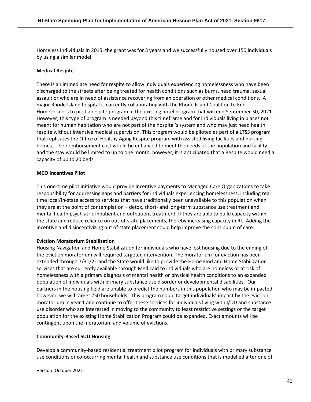Homeless Individuals in 2015, the grant was for 3 years and we successfully housed over 150 individuals by using a similar model.

### **Medical Respite**

There is an immediate need for respite to allow individuals experiencing homelessness who have been discharged to the streets after being treated for health conditions such as burns, head trauma, sexual assault or who are in need of assistance recovering from an operation or other medical conditions. A major Rhode Island hospital is currently collaborating with the Rhode Island Coalition to End Homelessness to pilot a respite program in the existing hotel program that will end September 30, 2021. However, this type of program is needed beyond this timeframe and for individuals living in places not meant for human habitation who are not part of the hospital's system and who may just need health respite without intensive medical supervision. This program would be piloted as part of a LTSS program that replicates the Office of Healthy Aging Respite program with assisted living facilities and nursing homes. The reimbursement cost would be enhanced to meet the needs of the population and facility and the stay would be limited to up to one month, however, it is anticipated that a Respite would need a capacity of up to 20 beds.

### **MCO Incentives Pilot**

This one-time pilot initiative would provide incentive payments to Managed Care Organizations to take responsibility for addressing gaps and barriers for individuals experiencing homelessness, including real time local/in-state access to services that have traditionally been unavailable to this population when they are at the point of contemplation – detox, short- and long-term substance use treatment and mental health psychiatric inpatient and outpatient treatment. If they are able to build capacity within the state and reduce reliance on out-of-state placements, thereby increasing capacity in RI. Adding the incentive and disincentivizing out of state placement could help improve the continuum of care.

### **Eviction Moratorium Stabilization**

Housing Navigation and Home Stabilization for individuals who have lost housing due to the ending of the eviction moratorium will required targeted intervention. The moratorium for eviction has been extended through 7/31/21 and the State would like to provide the Home Find and Home Stabilization services that are currently available through Medicaid to individuals who are homeless or at risk of homelessness with a primary diagnosis of mental health or physical health conditions to an expanded population of individuals with primary substance use disorder or developmental disabilities. Our partners in the housing field are unable to predict the numbers in this population who may be impacted, however, we will target 250 households. This program could target individuals' impact by the eviction moratorium in year 1 and continue to offer these services for individuals living with I/DD and substance use disorder who are interested in moving to the community to least restrictive settings or the target population for the existing Home Stabilization Program could be expanded. Exact amounts will be contingent upon the moratorium and volume of evictions.

### **Community-Based SUD Housing**

Develop a community-based residential treatment pilot program for individuals with primary substance use conditions or co-occurring mental health and substance use conditions that is modelled after one of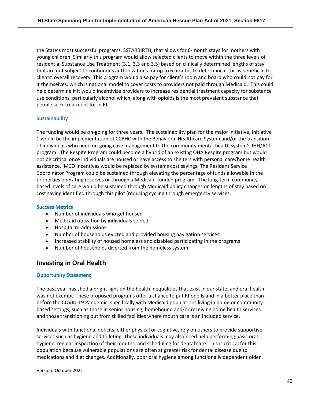the State's most successful programs, SSTARBIRTH, that allows for 6-month stays for mothers with young children. Similarly this program would allow selected clients to move within the three levels of residential Substance Use Treatment (3.1, 3.3 and 3.5) based on clinically determined lengths of stay that are not subject to continuous authorizations for up to 6 months to determine if this is beneficial to clients' overall recovery. This program would also pay for client's room and board who could not pay for it themselves, which is national model to cover costs to providers not paid through Medicaid.  This could help determine if it would incentivize providers to increase residential treatment capacity for substance use conditions, particularly alcohol which, along with opioids is the most prevalent substance that people seek treatment for in RI.

### **Sustainability**

The funding would be on-going for three years. The sustainability plan for the major initiative, Initiative 1 would be the implementation of CCBHC with the Behavioral Healthcare System and/or the transition of individuals who need on-going case management to the community mental health system's IHH/ACT program. The Respite Program could become a hybrid of an existing OHA Respite program but would not be critical once individuals are housed or have access to shelters with personal care/home health assistance. MCO Incentives would be replaced by systems cost savings. The Resident Service Coordinator Program could be sustained through elevating the percentage of funds allowable in the properties operating reserves or through a Medicaid-funded program. The long-term communitybased levels of care would be sustained through Medicaid policy changes on lengths of stay based on cost saving identified through this pilot (reducing cycling through emergency services.

### **Success Metrics**

- Number of individuals who get housed
- Medicaid utilization by individuals served
- Hospital re-admissions
- Number of households evicted and provided housing navigation services
- Increased stability of housed homeless and disabled participating in the programs
- Number of households diverted from the homeless system

### **Investing in Oral Health**

### **Opportunity Statement**

The past year has shed a bright light on the health inequalities that exist in our state, and oral health was not exempt. These proposed programs offer a chance to put Rhode Island in a better place than before the COVID-19 Pandemic, specifically with Medicaid populations living in home or communitybased settings, such as those in senior housing, homebound and/or receiving home health services, and those transitioning out from skilled facilities where mouth care is an included service.

Individuals with functional deficits, either physical or cognitive, rely on others to provide supportive services such as hygiene and toileting. These individuals may also need help performing basic oral hygiene, regular inspection of their mouths, and scheduling for dental care. This is critical for this population because vulnerable populations are often at greater risk for dental disease due to medications and diet changes. Additionally, poor oral hygiene among functionally dependent older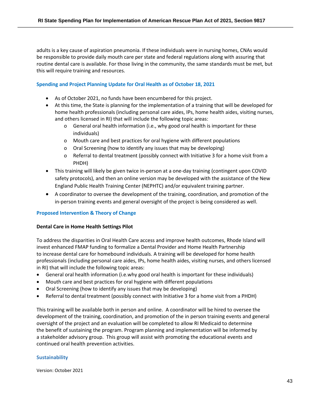adults is a key cause of aspiration pneumonia. If these individuals were in nursing homes, CNAs would be responsible to provide daily mouth care per state and federal regulations along with assuring that routine dental care is available. For those living in the community, the same standards must be met, but this will require training and resources.

### **Spending and Project Planning Update for Oral Health as of October 18, 2021**

- As of October 2021, no funds have been encumbered for this project.
- At this time, the State is planning for the implementation of a training that will be developed for home health professionals (including personal care aides, IPs, home health aides, visiting nurses, and others licensed in RI) that will include the following topic areas:
	- o General oral health information (i.e., why good oral health is important for these individuals)
	- o Mouth care and best practices for oral hygiene with different populations
	- o Oral Screening (how to identify any issues that may be developing)
	- o Referral to dental treatment (possibly connect with Initiative 3 for a home visit from a PHDH)
- This training will likely be given twice in-person at a one-day training (contingent upon COVID safety protocols), and then an online version may be developed with the assistance of the New England Public Health Training Center (NEPHTC) and/or equivalent training partner.
- A coordinator to oversee the development of the training, coordination, and promotion of the in-person training events and general oversight of the project is being considered as well.

### **Proposed Intervention & Theory of Change**

### **Dental Care in Home Health Settings Pilot**

To address the disparities in Oral Health Care access and improve health outcomes, Rhode Island will invest enhanced FMAP funding to formalize a Dental Provider and Home Health Partnership to increase dental care for homebound individuals. A training will be developed for home health professionals (including personal care aides, IPs, home health aides, visiting nurses, and others licensed in RI) that will include the following topic areas:

- General oral health information (i.e.why good oral health is important for these individuals)
- Mouth care and best practices for oral hygiene with different populations
- Oral Screening (how to identify any issues that may be developing)
- Referral to dental treatment (possibly connect with Initiative 3 for a home visit from a PHDH)

This training will be available both in person and online. A coordinator will be hired to oversee the development of the training, coordination, and promotion of the in person training events and general oversight of the project and an evaluation will be completed to allow RI Medicaid to determine the benefit of sustaining the program. Program planning and implementation will be informed by a stakeholder advisory group. This group will assist with promoting the educational events and continued oral health prevention activities.

### **Sustainability**

Version: October 2021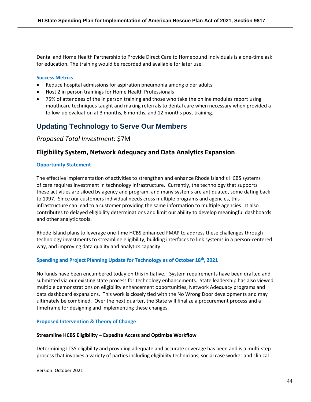Dental and Home Health Partnership to Provide Direct Care to Homebound Individuals is a one-time ask for education. The training would be recorded and available for later use.

### **Success Metrics**

- Reduce hospital admissions for aspiration pneumonia among older adults
- Host 2 in person trainings for Home Health Professionals
- 75% of attendees of the in person training and those who take the online modules report using mouthcare techniques taught and making referrals to dental care when necessary when provided a follow-up evaluation at 3 months, 6 months, and 12 months post training.

## **Updating Technology to Serve Our Members**

*Proposed Total Investment:* \$7M

### **Eligibility System, Network Adequacy and Data Analytics Expansion**

### **Opportunity Statement**

The effective implementation of activities to strengthen and enhance Rhode Island's HCBS systems of care requires investment in technology infrastructure. Currently, the technology that supports these activities are siloed by agency and program, and many systems are antiquated, some dating back to 1997. Since our customers individual needs cross multiple programs and agencies, this infrastructure can lead to a customer providing the same information to multiple agencies. It also contributes to delayed eligibility determinations and limit our ability to develop meaningful dashboards and other analytic tools.

Rhode Island plans to leverage one-time HCBS enhanced FMAP to address these challenges through technology investments to streamline eligibility, building interfaces to link systems in a person-centered way, and improving data quality and analytics capacity.

### **Spending and Project Planning Update for Technology as of October 18th, 2021**

No funds have been encumbered today on this initiative. System requirements have been drafted and submitted via our existing state process for technology enhancements. State leadership has also viewed multiple demonstrations on eligibility enhancement opportunities, Network Adequacy programs and data dashboard expansions. This work is closely tied with the No Wrong Door developments and may ultimately be combined. Over the next quarter, the State will finalize a procurement process and a timeframe for designing and implementing these changes.

### **Proposed Intervention & Theory of Change**

### **Streamline HCBS Eligibility – Expedite Access and Optimize Workflow**

Determining LTSS eligibility and providing adequate and accurate coverage has been and is a multi-step process that involves a variety of parties including eligibility technicians, social case worker and clinical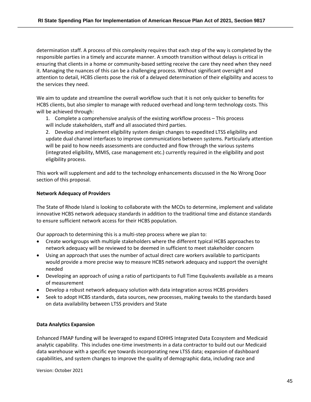determination staff. A process of this complexity requires that each step of the way is completed by the responsible parties in a timely and accurate manner. A smooth transition without delays is critical in ensuring that clients in a home or community-based setting receive the care they need when they need it. Managing the nuances of this can be a challenging process. Without significant oversight and attention to detail, HCBS clients pose the risk of a delayed determination of their eligibility and access to the services they need.

We aim to update and streamline the overall workflow such that it is not only quicker to benefits for HCBS clients, but also simpler to manage with reduced overhead and long-term technology costs. This will be achieved through:

1. Complete a comprehensive analysis of the existing workflow process – This process will include stakeholders, staff and all associated third parties.

2. Develop and implement eligibility system design changes to expedited LTSS eligibility and update dual channel interfaces to improve communications between systems. Particularly attention will be paid to how needs assessments are conducted and flow through the various systems (integrated eligibility, MMIS, case management etc.) currently required in the eligibility and post eligibility process.

This work will supplement and add to the technology enhancements discussed in the No Wrong Door section of this proposal.

### **Network Adequacy of Providers**

The State of Rhode Island is looking to collaborate with the MCOs to determine, implement and validate innovative HCBS network adequacy standards in addition to the traditional time and distance standards to ensure sufficient network access for their HCBS population.

Our approach to determining this is a multi-step process where we plan to:

- Create workgroups with multiple stakeholders where the different typical HCBS approaches to network adequacy will be reviewed to be deemed in sufficient to meet stakeholder concern
- Using an approach that uses the number of actual direct care workers available to participants would provide a more precise way to measure HCBS network adequacy and support the oversight needed
- Developing an approach of using a ratio of participants to Full Time Equivalents available as a means of measurement
- Develop a robust network adequacy solution with data integration across HCBS providers
- Seek to adopt HCBS standards, data sources, new processes, making tweaks to the standards based on data availability between LTSS providers and State

### **Data Analytics Expansion**

Enhanced FMAP funding will be leveraged to expand EOHHS Integrated Data Ecosystem and Medicaid analytic capability. This includes one-time investments in a data contractor to build out our Medicaid data warehouse with a specific eye towards incorporating new LTSS data; expansion of dashboard capabilities, and system changes to improve the quality of demographic data, including race and

Version: October 2021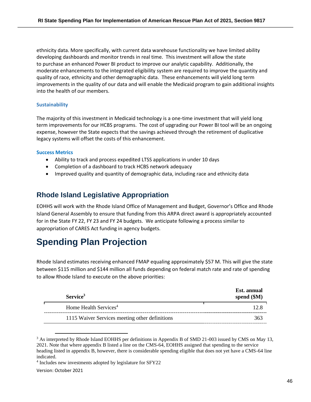ethnicity data. More specifically, with current data warehouse functionality we have limited ability developing dashboards and monitor trends in real time. This investment will allow the state to purchase an enhanced Power BI product to improve our analytic capability. Additionally, the moderate enhancements to the integrated eligibility system are required to improve the quantity and quality of race, ethnicity and other demographic data. These enhancements will yield long term improvements in the quality of our data and will enable the Medicaid program to gain additional insights into the health of our members.

### **Sustainability**

The majority of this investment in Medicaid technology is a one-time investment that will yield long term improvements for our HCBS programs. The cost of upgrading our Power BI tool will be an ongoing expense, however the State expects that the savings achieved through the retirement of duplicative legacy systems will offset the costs of this enhancement.

### **Success Metrics**

- Ability to track and process expedited LTSS applications in under 10 days
- Completion of a dashboard to track HCBS network adequacy
- Improved quality and quantity of demographic data, including race and ethnicity data

## **Rhode Island Legislative Appropriation**

EOHHS will work with the Rhode Island Office of Management and Budget, Governor's Office and Rhode Island General Assembly to ensure that funding from this ARPA direct award is appropriately accounted for in the State FY 22, FY 23 and FY 24 budgets. We anticipate following a process similar to appropriation of CARES Act funding in agency budgets.

# **Spending Plan Projection**

Rhode Island estimates receiving enhanced FMAP equaling approximately \$57 M. This will give the state between \$115 million and \$144 million all funds depending on federal match rate and rate of spending to allow Rhode Island to execute on the above priorities:

| Service <sup>3</sup>                           | Est. annual<br>spend $(\$M)$ |
|------------------------------------------------|------------------------------|
| Home Health Services <sup>4</sup>              |                              |
| 1115 Waiver Services meeting other definitions | 363                          |

<sup>&</sup>lt;sup>3</sup> As interpreted by Rhode Island EOHHS per definitions in Appendix B of SMD 21-003 issued by CMS on May 13, 2021. Note that where appendix B listed a line on the CMS-64, EOHHS assigned that spending to the service heading listed in appendix B, however, there is considerable spending eligible that does not yet have a CMS-64 line indicated.

<sup>&</sup>lt;sup>4</sup> Includes new investments adopted by legislature for SFY22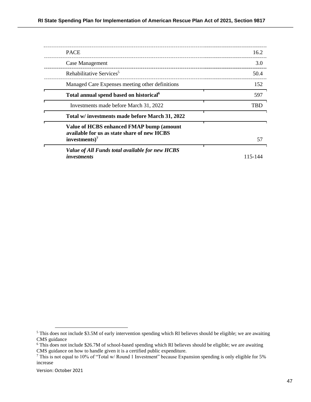| <b>PACE</b>                                                                                                          | 16.2    |
|----------------------------------------------------------------------------------------------------------------------|---------|
| Case Management                                                                                                      | 3.0     |
| Rehabilitative Services <sup>5</sup>                                                                                 | 50.4    |
| Managed Care Expenses meeting other definitions                                                                      | 152     |
| Total annual spend based on historical <sup>6</sup>                                                                  | 597     |
| Investments made before March 31, 2022                                                                               | TBD     |
| Total w/ investments made before March 31, 2022                                                                      |         |
| Value of HCBS enhanced FMAP bump (amount<br>available for us as state share of new HCBS<br>investments) <sup>7</sup> | 57      |
| Value of All Funds total available for new HCBS<br><i>investments</i>                                                | 115-144 |

<sup>&</sup>lt;sup>5</sup> This does not include \$3.5M of early intervention spending which RI believes should be eligible; we are awaiting CMS guidance

<sup>&</sup>lt;sup>6</sup> This does not include \$26.7M of school-based spending which RI believes should be eligible; we are awaiting CMS guidance on how to handle given it is a certified public expenditure.

<sup>&</sup>lt;sup>7</sup> This is not equal to 10% of "Total w/ Round 1 Investment" because Expansion spending is only eligible for 5% increase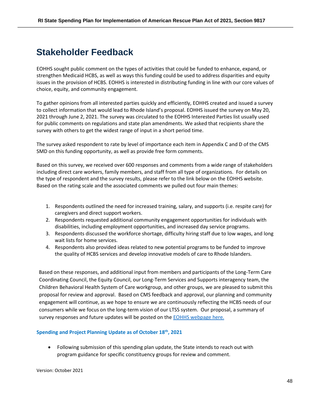# **Stakeholder Feedback**

EOHHS sought public comment on the types of activities that could be funded to enhance, expand, or strengthen Medicaid HCBS, as well as ways this funding could be used to address disparities and equity issues in the provision of HCBS. EOHHS is interested in distributing funding in line with our core values of choice, equity, and community engagement.

To gather opinions from all interested parties quickly and efficiently, EOHHS created and issued a survey to collect information that would lead to Rhode Island's proposal. EOHHS issued the survey on May 20, 2021 through June 2, 2021. The survey was circulated to the EOHHS Interested Parties list usually used for public comments on regulations and state plan amendments. We asked that recipients share the survey with others to get the widest range of input in a short period time.

The survey asked respondent to rate by level of importance each item in Appendix C and D of the CMS SMD on this funding opportunity, as well as provide free form comments.

Based on this survey, we received over 600 responses and comments from a wide range of stakeholders including direct care workers, family members, and staff from all type of organizations. For details on the type of respondent and the survey results, please refer to the link below on the EOHHS website. Based on the rating scale and the associated comments we pulled out four main themes:

- 1. Respondents outlined the need for increased training, salary, and supports (i.e. respite care) for caregivers and direct support workers.
- 2. Respondents requested additional community engagement opportunities for individuals with disabilities, including employment opportunities, and increased day service programs.
- 3. Respondents discussed the workforce shortage, difficulty hiring staff due to low wages, and long wait lists for home services.
- 4. Respondents also provided ideas related to new potential programs to be funded to improve the quality of HCBS services and develop innovative models of care to Rhode Islanders.

Based on these responses, and additional input from members and participants of the Long-Term Care Coordinating Council, the Equity Council, our Long-Term Services and Supports interagency team, the Children Behavioral Health System of Care workgroup, and other groups, we are pleased to submit this proposal for review and approval. Based on CMS feedback and approval, our planning and community engagement will continue, as we hope to ensure we are continuously reflecting the HCBS needs of our consumers while we focus on the long-term vision of our LTSS system. Our proposal, a summary of survey responses and future updates will be posted on the [EOHHS webpage here.](https://eohhs.ri.gov/initiatives/american-rescue-plan-act/home-and-community-based-services-hcbs-enhancement)

### **Spending and Project Planning Update as of October 18th, 2021**

• Following submission of this spending plan update, the State intends to reach out with program guidance for specific constituency groups for review and comment.